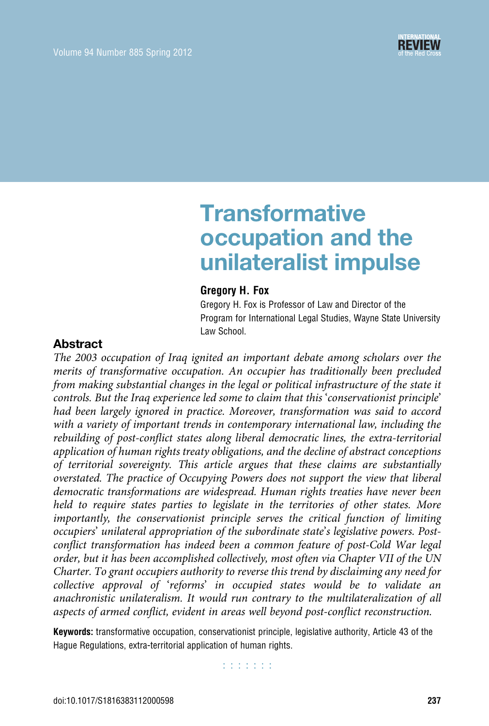

# **Transformative** occupation and the unilateralist impulse

#### Gregory H. Fox

Gregory H. Fox is Professor of Law and Director of the Program for International Legal Studies, Wayne State University Law School.

## **Abstract**

The 2003 occupation of Iraq ignited an important debate among scholars over the merits of transformative occupation. An occupier has traditionally been precluded from making substantial changes in the legal or political infrastructure of the state it controls. But the Iraq experience led some to claim that this 'conservationist principle' had been largely ignored in practice. Moreover, transformation was said to accord with a variety of important trends in contemporary international law, including the rebuilding of post-conflict states along liberal democratic lines, the extra-territorial application of human rights treaty obligations, and the decline of abstract conceptions of territorial sovereignty. This article argues that these claims are substantially overstated. The practice of Occupying Powers does not support the view that liberal democratic transformations are widespread. Human rights treaties have never been held to require states parties to legislate in the territories of other states. More importantly, the conservationist principle serves the critical function of limiting occupiers' unilateral appropriation of the subordinate state's legislative powers. Postconflict transformation has indeed been a common feature of post-Cold War legal order, but it has been accomplished collectively, most often via Chapter VII of the UN Charter. To grant occupiers authority to reverse this trend by disclaiming any need for collective approval of 'reforms' in occupied states would be to validate an anachronistic unilateralism. It would run contrary to the multilateralization of all aspects of armed conflict, evident in areas well beyond post-conflict reconstruction.

Keywords: transformative occupation, conservationist principle, legislative authority, Article 43 of the Hague Regulations, extra-territorial application of human rights.

r r r r r r r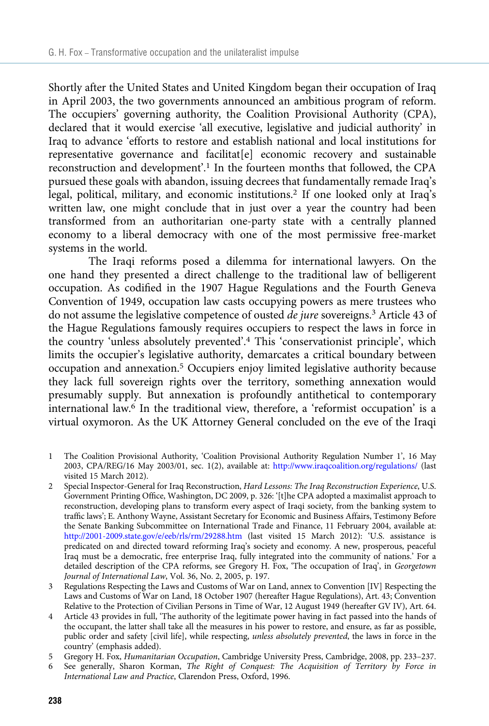Shortly after the United States and United Kingdom began their occupation of Iraq in April 2003, the two governments announced an ambitious program of reform. The occupiers' governing authority, the Coalition Provisional Authority (CPA), declared that it would exercise 'all executive, legislative and judicial authority' in Iraq to advance 'efforts to restore and establish national and local institutions for representative governance and facilitat[e] economic recovery and sustainable reconstruction and development'. <sup>1</sup> In the fourteen months that followed, the CPA pursued these goals with abandon, issuing decrees that fundamentally remade Iraq's legal, political, military, and economic institutions.2 If one looked only at Iraq's written law, one might conclude that in just over a year the country had been transformed from an authoritarian one-party state with a centrally planned economy to a liberal democracy with one of the most permissive free-market systems in the world.

The Iraqi reforms posed a dilemma for international lawyers. On the one hand they presented a direct challenge to the traditional law of belligerent occupation. As codified in the 1907 Hague Regulations and the Fourth Geneva Convention of 1949, occupation law casts occupying powers as mere trustees who do not assume the legislative competence of ousted de jure sovereigns.<sup>3</sup> Article 43 of the Hague Regulations famously requires occupiers to respect the laws in force in the country 'unless absolutely prevented'. <sup>4</sup> This 'conservationist principle', which limits the occupier's legislative authority, demarcates a critical boundary between occupation and annexation.5 Occupiers enjoy limited legislative authority because they lack full sovereign rights over the territory, something annexation would presumably supply. But annexation is profoundly antithetical to contemporary international law.6 In the traditional view, therefore, a 'reformist occupation' is a virtual oxymoron. As the UK Attorney General concluded on the eve of the Iraqi

- 1 The Coalition Provisional Authority, 'Coalition Provisional Authority Regulation Number 1', 16 May 2003, CPA/REG/16 May 2003/01, sec. 1(2), available at: <http://www.iraqcoalition.org/regulations/> (last visited 15 March 2012).
- 2 Special Inspector-General for Iraq Reconstruction, Hard Lessons: The Iraq Reconstruction Experience, U.S. Government Printing Office, Washington, DC 2009, p. 326: '[t]he CPA adopted a maximalist approach to reconstruction, developing plans to transform every aspect of Iraqi society, from the banking system to traffic laws'; E. Anthony Wayne, Assistant Secretary for Economic and Business Affairs, Testimony Before the Senate Banking Subcommittee on International Trade and Finance, 11 February 2004, available at: <http://2001-2009.state.gov/e/eeb/rls/rm/29288.htm> (last visited 15 March 2012): 'U.S. assistance is predicated on and directed toward reforming Iraq's society and economy. A new, prosperous, peaceful Iraq must be a democratic, free enterprise Iraq, fully integrated into the community of nations.' For a detailed description of the CPA reforms, see Gregory H. Fox, 'The occupation of Iraq', in Georgetown Journal of International Law, Vol. 36, No. 2, 2005, p. 197.
- 3 Regulations Respecting the Laws and Customs of War on Land, annex to Convention [IV] Respecting the Laws and Customs of War on Land, 18 October 1907 (hereafter Hague Regulations), Art. 43; Convention Relative to the Protection of Civilian Persons in Time of War, 12 August 1949 (hereafter GV IV), Art. 64.
- 4 Article 43 provides in full, 'The authority of the legitimate power having in fact passed into the hands of the occupant, the latter shall take all the measures in his power to restore, and ensure, as far as possible, public order and safety [civil life], while respecting, unless absolutely prevented, the laws in force in the country' (emphasis added).
- 5 Gregory H. Fox, Humanitarian Occupation, Cambridge University Press, Cambridge, 2008, pp. 233-237.<br>6 See generally, Sharon Korman, The Right of Conquest: The Acquisition of Territory by Force in
- See generally, Sharon Korman, The Right of Conquest: The Acquisition of Territory by Force in International Law and Practice, Clarendon Press, Oxford, 1996.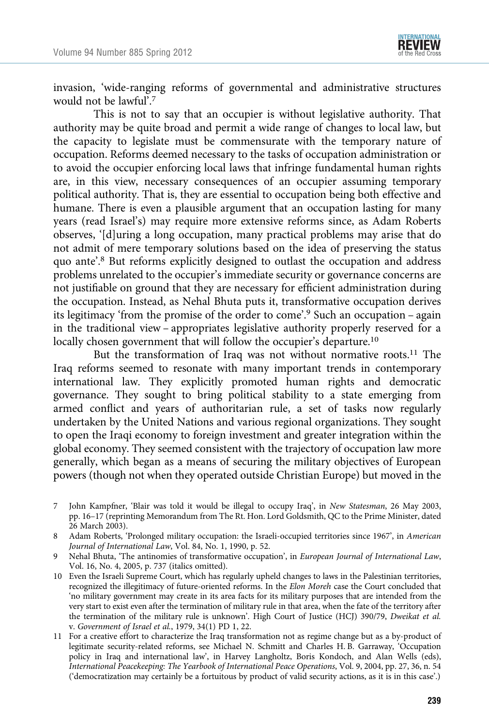

invasion, 'wide-ranging reforms of governmental and administrative structures would not be lawful'. 7

This is not to say that an occupier is without legislative authority. That authority may be quite broad and permit a wide range of changes to local law, but the capacity to legislate must be commensurate with the temporary nature of occupation. Reforms deemed necessary to the tasks of occupation administration or to avoid the occupier enforcing local laws that infringe fundamental human rights are, in this view, necessary consequences of an occupier assuming temporary political authority. That is, they are essential to occupation being both effective and humane. There is even a plausible argument that an occupation lasting for many years (read Israel's) may require more extensive reforms since, as Adam Roberts observes, '[d]uring a long occupation, many practical problems may arise that do not admit of mere temporary solutions based on the idea of preserving the status quo ante'. <sup>8</sup> But reforms explicitly designed to outlast the occupation and address problems unrelated to the occupier's immediate security or governance concerns are not justifiable on ground that they are necessary for efficient administration during the occupation. Instead, as Nehal Bhuta puts it, transformative occupation derives its legitimacy 'from the promise of the order to come'. <sup>9</sup> Such an occupation – again in the traditional view – appropriates legislative authority properly reserved for a locally chosen government that will follow the occupier's departure.<sup>10</sup>

But the transformation of Iraq was not without normative roots.<sup>11</sup> The Iraq reforms seemed to resonate with many important trends in contemporary international law. They explicitly promoted human rights and democratic governance. They sought to bring political stability to a state emerging from armed conflict and years of authoritarian rule, a set of tasks now regularly undertaken by the United Nations and various regional organizations. They sought to open the Iraqi economy to foreign investment and greater integration within the global economy. They seemed consistent with the trajectory of occupation law more generally, which began as a means of securing the military objectives of European powers (though not when they operated outside Christian Europe) but moved in the

- 7 John Kampfner, 'Blair was told it would be illegal to occupy Iraq', in New Statesman, 26 May 2003, pp. 16–17 (reprinting Memorandum from The Rt. Hon. Lord Goldsmith, QC to the Prime Minister, dated 26 March 2003).
- 8 Adam Roberts, 'Prolonged military occupation: the Israeli-occupied territories since 1967', in American Journal of International Law, Vol. 84, No. 1, 1990, p. 52.
- 9 Nehal Bhuta, 'The antinomies of transformative occupation', in European Journal of International Law, Vol. 16, No. 4, 2005, p. 737 (italics omitted).
- 10 Even the Israeli Supreme Court, which has regularly upheld changes to laws in the Palestinian territories, recognized the illegitimacy of future-oriented reforms. In the Elon Moreh case the Court concluded that 'no military government may create in its area facts for its military purposes that are intended from the very start to exist even after the termination of military rule in that area, when the fate of the territory after the termination of the military rule is unknown'. High Court of Justice (HCJ) 390/79, Dweikat et al. v. Government of Israel et al., 1979, 34(1) PD 1, 22.
- 11 For a creative effort to characterize the Iraq transformation not as regime change but as a by-product of legitimate security-related reforms, see Michael N. Schmitt and Charles H. B. Garraway, 'Occupation policy in Iraq and international law', in Harvey Langholtz, Boris Kondoch, and Alan Wells (eds), International Peacekeeping: The Yearbook of International Peace Operations, Vol. 9, 2004, pp. 27, 36, n. 54 ('democratization may certainly be a fortuitous by product of valid security actions, as it is in this case'.)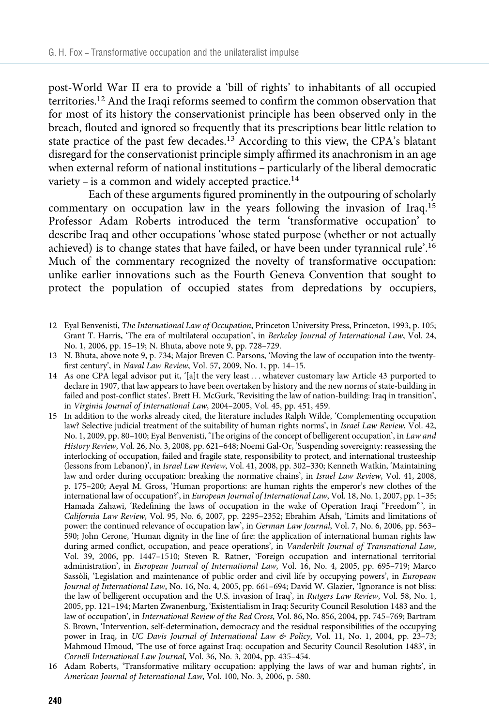post-World War II era to provide a 'bill of rights' to inhabitants of all occupied territories.<sup>12</sup> And the Iraqi reforms seemed to confirm the common observation that for most of its history the conservationist principle has been observed only in the breach, flouted and ignored so frequently that its prescriptions bear little relation to state practice of the past few decades.<sup>13</sup> According to this view, the CPA's blatant disregard for the conservationist principle simply affirmed its anachronism in an age when external reform of national institutions – particularly of the liberal democratic variety – is a common and widely accepted practice.14

Each of these arguments figured prominently in the outpouring of scholarly commentary on occupation law in the years following the invasion of Iraq.<sup>15</sup> Professor Adam Roberts introduced the term 'transformative occupation' to describe Iraq and other occupations 'whose stated purpose (whether or not actually achieved) is to change states that have failed, or have been under tyrannical rule'.<sup>16</sup> Much of the commentary recognized the novelty of transformative occupation: unlike earlier innovations such as the Fourth Geneva Convention that sought to protect the population of occupied states from depredations by occupiers,

- 12 Eyal Benvenisti, The International Law of Occupation, Princeton University Press, Princeton, 1993, p. 105; Grant T. Harris, 'The era of multilateral occupation', in Berkeley Journal of International Law, Vol. 24, No. 1, 2006, pp. 15–19; N. Bhuta, above note 9, pp. 728–729.
- 13 N. Bhuta, above note 9, p. 734; Major Breven C. Parsons, 'Moving the law of occupation into the twentyfirst century', in Naval Law Review, Vol. 57, 2009, No. 1, pp. 14–15.
- 14 As one CPA legal advisor put it, '[a]t the very least ... whatever customary law Article 43 purported to declare in 1907, that law appears to have been overtaken by history and the new norms of state-building in failed and post-conflict states'. Brett H. McGurk, 'Revisiting the law of nation-building: Iraq in transition', in Virginia Journal of International Law, 2004–2005, Vol. 45, pp. 451, 459.
- 15 In addition to the works already cited, the literature includes Ralph Wilde, 'Complementing occupation law? Selective judicial treatment of the suitability of human rights norms', in Israel Law Review, Vol. 42, No. 1, 2009, pp. 80–100; Eyal Benvenisti, 'The origins of the concept of belligerent occupation', in Law and History Review, Vol. 26, No. 3, 2008, pp. 621–648; Noemi Gal-Or, 'Suspending sovereignty: reassessing the interlocking of occupation, failed and fragile state, responsibility to protect, and international trusteeship (lessons from Lebanon)', in Israel Law Review, Vol. 41, 2008, pp. 302–330; Kenneth Watkin, 'Maintaining law and order during occupation: breaking the normative chains', in Israel Law Review, Vol. 41, 2008, p. 175–200; Aeyal M. Gross, 'Human proportions: are human rights the emperor's new clothes of the international law of occupation?', in European Journal of International Law, Vol. 18, No. 1, 2007, pp. 1–35; Hamada Zahawi, 'Redefining the laws of occupation in the wake of Operation Iraqi "Freedom" ', in California Law Review, Vol. 95, No. 6, 2007, pp. 2295–2352; Ebrahim Afsah, 'Limits and limitations of power: the continued relevance of occupation law', in German Law Journal, Vol. 7, No. 6, 2006, pp. 563-590; John Cerone, 'Human dignity in the line of fire: the application of international human rights law during armed conflict, occupation, and peace operations', in Vanderbilt Journal of Transnational Law, Vol. 39, 2006, pp. 1447–1510; Steven R. Ratner, 'Foreign occupation and international territorial administration', in European Journal of International Law, Vol. 16, No. 4, 2005, pp. 695–719; Marco Sassòli, 'Legislation and maintenance of public order and civil life by occupying powers', in European Journal of International Law, No. 16, No. 4, 2005, pp. 661-694; David W. Glazier, 'Ignorance is not bliss: the law of belligerent occupation and the U.S. invasion of Iraq', in Rutgers Law Review, Vol. 58, No. 1, 2005, pp. 121–194; Marten Zwanenburg, 'Existentialism in Iraq: Security Council Resolution 1483 and the law of occupation', in International Review of the Red Cross, Vol. 86, No. 856, 2004, pp. 745–769; Bartram S. Brown, 'Intervention, self-determination, democracy and the residual responsibilities of the occupying power in Iraq, in UC Davis Journal of International Law & Policy, Vol. 11, No. 1, 2004, pp. 23–73; Mahmoud Hmoud, 'The use of force against Iraq: occupation and Security Council Resolution 1483', in Cornell International Law Journal, Vol. 36, No. 3, 2004, pp. 435–454.
- 16 Adam Roberts, 'Transformative military occupation: applying the laws of war and human rights', in American Journal of International Law, Vol. 100, No. 3, 2006, p. 580.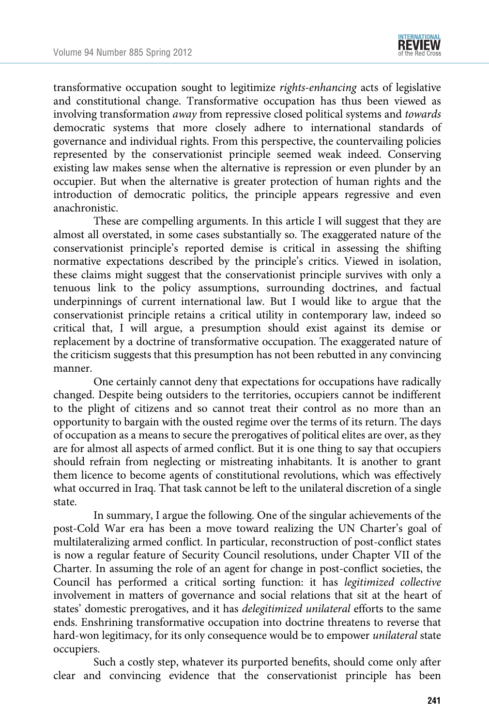

transformative occupation sought to legitimize rights-enhancing acts of legislative and constitutional change. Transformative occupation has thus been viewed as involving transformation away from repressive closed political systems and towards democratic systems that more closely adhere to international standards of governance and individual rights. From this perspective, the countervailing policies represented by the conservationist principle seemed weak indeed. Conserving existing law makes sense when the alternative is repression or even plunder by an occupier. But when the alternative is greater protection of human rights and the introduction of democratic politics, the principle appears regressive and even anachronistic.

These are compelling arguments. In this article I will suggest that they are almost all overstated, in some cases substantially so. The exaggerated nature of the conservationist principle's reported demise is critical in assessing the shifting normative expectations described by the principle's critics. Viewed in isolation, these claims might suggest that the conservationist principle survives with only a tenuous link to the policy assumptions, surrounding doctrines, and factual underpinnings of current international law. But I would like to argue that the conservationist principle retains a critical utility in contemporary law, indeed so critical that, I will argue, a presumption should exist against its demise or replacement by a doctrine of transformative occupation. The exaggerated nature of the criticism suggests that this presumption has not been rebutted in any convincing manner.

One certainly cannot deny that expectations for occupations have radically changed. Despite being outsiders to the territories, occupiers cannot be indifferent to the plight of citizens and so cannot treat their control as no more than an opportunity to bargain with the ousted regime over the terms of its return. The days of occupation as a means to secure the prerogatives of political elites are over, as they are for almost all aspects of armed conflict. But it is one thing to say that occupiers should refrain from neglecting or mistreating inhabitants. It is another to grant them licence to become agents of constitutional revolutions, which was effectively what occurred in Iraq. That task cannot be left to the unilateral discretion of a single state.

In summary, I argue the following. One of the singular achievements of the post-Cold War era has been a move toward realizing the UN Charter's goal of multilateralizing armed conflict. In particular, reconstruction of post-conflict states is now a regular feature of Security Council resolutions, under Chapter VII of the Charter. In assuming the role of an agent for change in post-conflict societies, the Council has performed a critical sorting function: it has legitimized collective involvement in matters of governance and social relations that sit at the heart of states' domestic prerogatives, and it has delegitimized unilateral efforts to the same ends. Enshrining transformative occupation into doctrine threatens to reverse that hard-won legitimacy, for its only consequence would be to empower unilateral state occupiers.

Such a costly step, whatever its purported benefits, should come only after clear and convincing evidence that the conservationist principle has been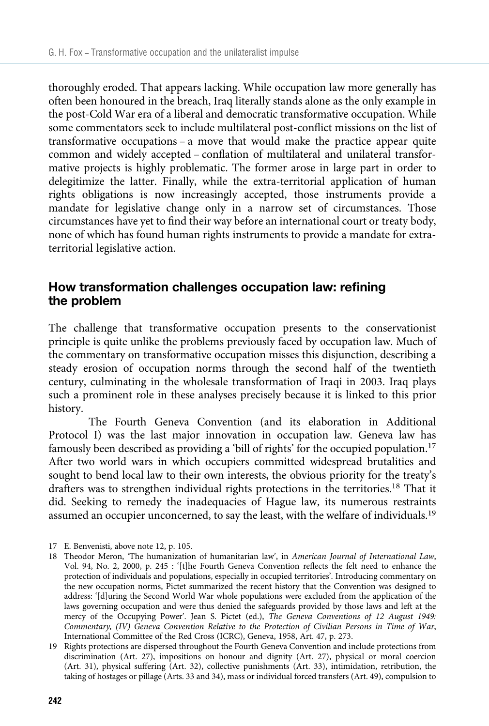thoroughly eroded. That appears lacking. While occupation law more generally has often been honoured in the breach, Iraq literally stands alone as the only example in the post-Cold War era of a liberal and democratic transformative occupation. While some commentators seek to include multilateral post-conflict missions on the list of transformative occupations – a move that would make the practice appear quite common and widely accepted – conflation of multilateral and unilateral transformative projects is highly problematic. The former arose in large part in order to delegitimize the latter. Finally, while the extra-territorial application of human rights obligations is now increasingly accepted, those instruments provide a mandate for legislative change only in a narrow set of circumstances. Those circumstances have yet to find their way before an international court or treaty body, none of which has found human rights instruments to provide a mandate for extraterritorial legislative action.

## How transformation challenges occupation law: refining the problem

The challenge that transformative occupation presents to the conservationist principle is quite unlike the problems previously faced by occupation law. Much of the commentary on transformative occupation misses this disjunction, describing a steady erosion of occupation norms through the second half of the twentieth century, culminating in the wholesale transformation of Iraqi in 2003. Iraq plays such a prominent role in these analyses precisely because it is linked to this prior history.

The Fourth Geneva Convention (and its elaboration in Additional Protocol I) was the last major innovation in occupation law. Geneva law has famously been described as providing a 'bill of rights' for the occupied population.<sup>17</sup> After two world wars in which occupiers committed widespread brutalities and sought to bend local law to their own interests, the obvious priority for the treaty's drafters was to strengthen individual rights protections in the territories.18 That it did. Seeking to remedy the inadequacies of Hague law, its numerous restraints assumed an occupier unconcerned, to say the least, with the welfare of individuals.<sup>19</sup>

<sup>17</sup> E. Benvenisti, above note 12, p. 105.

<sup>18</sup> Theodor Meron, 'The humanization of humanitarian law', in American Journal of International Law, Vol. 94, No. 2, 2000, p. 245 : '[t]he Fourth Geneva Convention reflects the felt need to enhance the protection of individuals and populations, especially in occupied territories'. Introducing commentary on the new occupation norms, Pictet summarized the recent history that the Convention was designed to address: '[d]uring the Second World War whole populations were excluded from the application of the laws governing occupation and were thus denied the safeguards provided by those laws and left at the mercy of the Occupying Power'. Jean S. Pictet (ed.), The Geneva Conventions of 12 August 1949: Commentary, (IV) Geneva Convention Relative to the Protection of Civilian Persons in Time of War, International Committee of the Red Cross (ICRC), Geneva, 1958, Art. 47, p. 273.

<sup>19</sup> Rights protections are dispersed throughout the Fourth Geneva Convention and include protections from discrimination (Art. 27), impositions on honour and dignity (Art. 27), physical or moral coercion (Art. 31), physical suffering (Art. 32), collective punishments (Art. 33), intimidation, retribution, the taking of hostages or pillage (Arts. 33 and 34), mass or individual forced transfers (Art. 49), compulsion to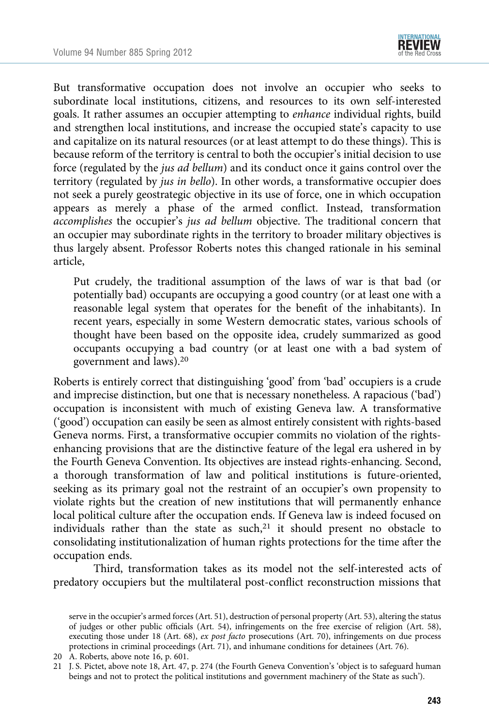

But transformative occupation does not involve an occupier who seeks to subordinate local institutions, citizens, and resources to its own self-interested goals. It rather assumes an occupier attempting to enhance individual rights, build and strengthen local institutions, and increase the occupied state's capacity to use and capitalize on its natural resources (or at least attempt to do these things). This is because reform of the territory is central to both the occupier's initial decision to use force (regulated by the jus ad bellum) and its conduct once it gains control over the territory (regulated by *jus in bello*). In other words, a transformative occupier does not seek a purely geostrategic objective in its use of force, one in which occupation appears as merely a phase of the armed conflict. Instead, transformation accomplishes the occupier's jus ad bellum objective. The traditional concern that an occupier may subordinate rights in the territory to broader military objectives is thus largely absent. Professor Roberts notes this changed rationale in his seminal article,

Put crudely, the traditional assumption of the laws of war is that bad (or potentially bad) occupants are occupying a good country (or at least one with a reasonable legal system that operates for the benefit of the inhabitants). In recent years, especially in some Western democratic states, various schools of thought have been based on the opposite idea, crudely summarized as good occupants occupying a bad country (or at least one with a bad system of government and laws).<sup>20</sup>

Roberts is entirely correct that distinguishing 'good' from 'bad' occupiers is a crude and imprecise distinction, but one that is necessary nonetheless. A rapacious ('bad') occupation is inconsistent with much of existing Geneva law. A transformative ('good') occupation can easily be seen as almost entirely consistent with rights-based Geneva norms. First, a transformative occupier commits no violation of the rightsenhancing provisions that are the distinctive feature of the legal era ushered in by the Fourth Geneva Convention. Its objectives are instead rights-enhancing. Second, a thorough transformation of law and political institutions is future-oriented, seeking as its primary goal not the restraint of an occupier's own propensity to violate rights but the creation of new institutions that will permanently enhance local political culture after the occupation ends. If Geneva law is indeed focused on individuals rather than the state as such,<sup>21</sup> it should present no obstacle to consolidating institutionalization of human rights protections for the time after the occupation ends.

Third, transformation takes as its model not the self-interested acts of predatory occupiers but the multilateral post-conflict reconstruction missions that

serve in the occupier's armed forces (Art. 51), destruction of personal property (Art. 53), altering the status of judges or other public officials (Art. 54), infringements on the free exercise of religion (Art. 58), executing those under 18 (Art. 68), ex post facto prosecutions (Art. 70), infringements on due process protections in criminal proceedings (Art. 71), and inhumane conditions for detainees (Art. 76).

<sup>20</sup> A. Roberts, above note 16, p. 601.

<sup>21</sup> J. S. Pictet, above note 18, Art. 47, p. 274 (the Fourth Geneva Convention's 'object is to safeguard human beings and not to protect the political institutions and government machinery of the State as such').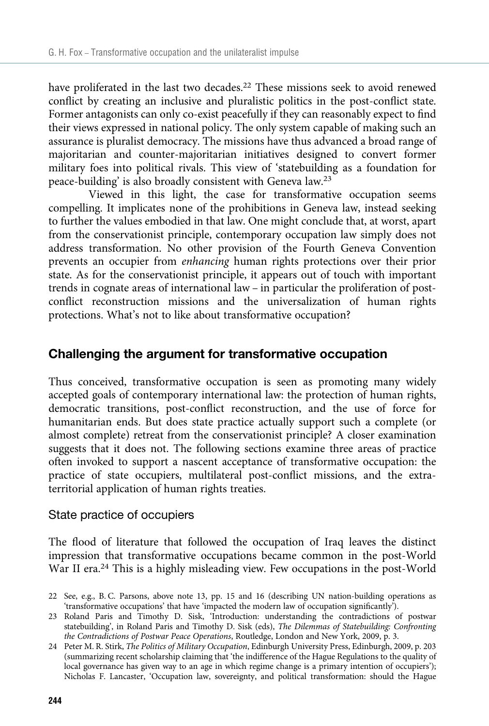have proliferated in the last two decades.22 These missions seek to avoid renewed conflict by creating an inclusive and pluralistic politics in the post-conflict state. Former antagonists can only co-exist peacefully if they can reasonably expect to find their views expressed in national policy. The only system capable of making such an assurance is pluralist democracy. The missions have thus advanced a broad range of majoritarian and counter-majoritarian initiatives designed to convert former military foes into political rivals. This view of 'statebuilding as a foundation for peace-building' is also broadly consistent with Geneva law.23

Viewed in this light, the case for transformative occupation seems compelling. It implicates none of the prohibitions in Geneva law, instead seeking to further the values embodied in that law. One might conclude that, at worst, apart from the conservationist principle, contemporary occupation law simply does not address transformation. No other provision of the Fourth Geneva Convention prevents an occupier from enhancing human rights protections over their prior state. As for the conservationist principle, it appears out of touch with important trends in cognate areas of international law – in particular the proliferation of postconflict reconstruction missions and the universalization of human rights protections. What's not to like about transformative occupation?

## Challenging the argument for transformative occupation

Thus conceived, transformative occupation is seen as promoting many widely accepted goals of contemporary international law: the protection of human rights, democratic transitions, post-conflict reconstruction, and the use of force for humanitarian ends. But does state practice actually support such a complete (or almost complete) retreat from the conservationist principle? A closer examination suggests that it does not. The following sections examine three areas of practice often invoked to support a nascent acceptance of transformative occupation: the practice of state occupiers, multilateral post-conflict missions, and the extraterritorial application of human rights treaties.

## State practice of occupiers

The flood of literature that followed the occupation of Iraq leaves the distinct impression that transformative occupations became common in the post-World War II era.24 This is a highly misleading view. Few occupations in the post-World

<sup>22</sup> See, e.g., B. C. Parsons, above note 13, pp. 15 and 16 (describing UN nation-building operations as 'transformative occupations' that have 'impacted the modern law of occupation significantly').

<sup>23</sup> Roland Paris and Timothy D. Sisk, 'Introduction: understanding the contradictions of postwar statebuilding', in Roland Paris and Timothy D. Sisk (eds), The Dilemmas of Statebuilding: Confronting the Contradictions of Postwar Peace Operations, Routledge, London and New York, 2009, p. 3.

<sup>24</sup> Peter M. R. Stirk, The Politics of Military Occupation, Edinburgh University Press, Edinburgh, 2009, p. 203 (summarizing recent scholarship claiming that 'the indifference of the Hague Regulations to the quality of local governance has given way to an age in which regime change is a primary intention of occupiers'); Nicholas F. Lancaster, 'Occupation law, sovereignty, and political transformation: should the Hague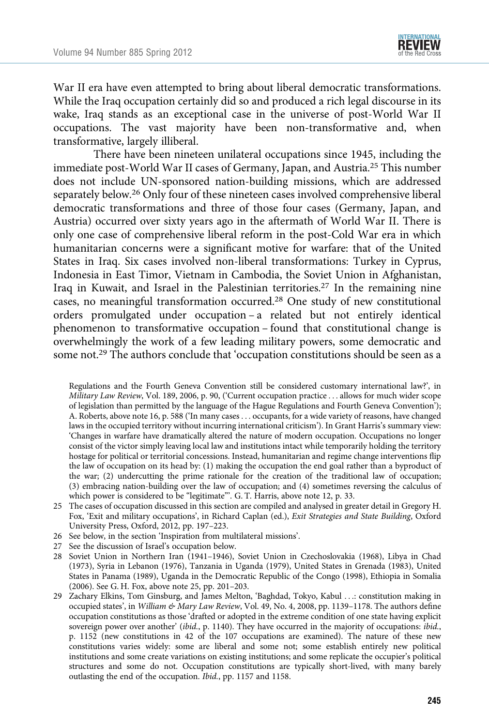

War II era have even attempted to bring about liberal democratic transformations. While the Iraq occupation certainly did so and produced a rich legal discourse in its wake, Iraq stands as an exceptional case in the universe of post-World War II occupations. The vast majority have been non-transformative and, when transformative, largely illiberal.

There have been nineteen unilateral occupations since 1945, including the immediate post-World War II cases of Germany, Japan, and Austria.25 This number does not include UN-sponsored nation-building missions, which are addressed separately below.<sup>26</sup> Only four of these nineteen cases involved comprehensive liberal democratic transformations and three of those four cases (Germany, Japan, and Austria) occurred over sixty years ago in the aftermath of World War II. There is only one case of comprehensive liberal reform in the post-Cold War era in which humanitarian concerns were a significant motive for warfare: that of the United States in Iraq. Six cases involved non-liberal transformations: Turkey in Cyprus, Indonesia in East Timor, Vietnam in Cambodia, the Soviet Union in Afghanistan, Iraq in Kuwait, and Israel in the Palestinian territories.<sup>27</sup> In the remaining nine cases, no meaningful transformation occurred.<sup>28</sup> One study of new constitutional orders promulgated under occupation – a related but not entirely identical phenomenon to transformative occupation – found that constitutional change is overwhelmingly the work of a few leading military powers, some democratic and some not.<sup>29</sup> The authors conclude that 'occupation constitutions should be seen as a

Regulations and the Fourth Geneva Convention still be considered customary international law?', in Military Law Review, Vol. 189, 2006, p. 90, ('Current occupation practice ... allows for much wider scope of legislation than permitted by the language of the Hague Regulations and Fourth Geneva Convention'); A. Roberts, above note 16, p. 588 ('In many cases ... occupants, for a wide variety of reasons, have changed laws in the occupied territory without incurring international criticism'). In Grant Harris's summary view: 'Changes in warfare have dramatically altered the nature of modern occupation. Occupations no longer consist of the victor simply leaving local law and institutions intact while temporarily holding the territory hostage for political or territorial concessions. Instead, humanitarian and regime change interventions flip the law of occupation on its head by: (1) making the occupation the end goal rather than a byproduct of the war; (2) undercutting the prime rationale for the creation of the traditional law of occupation; (3) embracing nation-building over the law of occupation; and (4) sometimes reversing the calculus of which power is considered to be "legitimate"'. G. T. Harris, above note 12, p. 33.

- 25 The cases of occupation discussed in this section are compiled and analysed in greater detail in Gregory H. Fox, 'Exit and military occupations', in Richard Caplan (ed.), Exit Strategies and State Building, Oxford University Press, Oxford, 2012, pp. 197–223.
- 26 See below, in the section 'Inspiration from multilateral missions'.
- 27 See the discussion of Israel's occupation below.
- 28 Soviet Union in Northern Iran (1941–1946), Soviet Union in Czechoslovakia (1968), Libya in Chad (1973), Syria in Lebanon (1976), Tanzania in Uganda (1979), United States in Grenada (1983), United States in Panama (1989), Uganda in the Democratic Republic of the Congo (1998), Ethiopia in Somalia (2006). See G. H. Fox, above note 25, pp. 201–203.
- 29 Zachary Elkins, Tom Ginsburg, and James Melton, 'Baghdad, Tokyo, Kabul ...: constitution making in occupied states', in William & Mary Law Review, Vol. 49, No. 4, 2008, pp. 1139-1178. The authors define occupation constitutions as those 'drafted or adopted in the extreme condition of one state having explicit sovereign power over another' (ibid., p. 1140). They have occurred in the majority of occupations: ibid., p. 1152 (new constitutions in 42 of the 107 occupations are examined). The nature of these new constitutions varies widely: some are liberal and some not; some establish entirely new political institutions and some create variations on existing institutions; and some replicate the occupier's political structures and some do not. Occupation constitutions are typically short-lived, with many barely outlasting the end of the occupation. Ibid., pp. 1157 and 1158.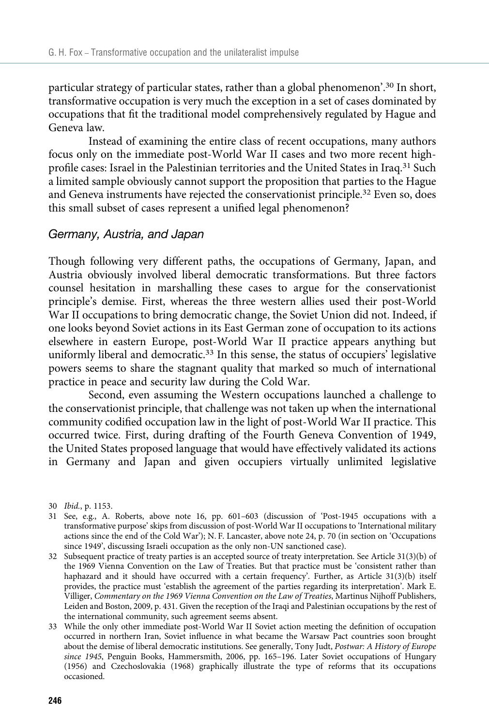particular strategy of particular states, rather than a global phenomenon'. <sup>30</sup> In short, transformative occupation is very much the exception in a set of cases dominated by occupations that fit the traditional model comprehensively regulated by Hague and Geneva law.

Instead of examining the entire class of recent occupations, many authors focus only on the immediate post-World War II cases and two more recent highprofile cases: Israel in the Palestinian territories and the United States in Iraq.<sup>31</sup> Such a limited sample obviously cannot support the proposition that parties to the Hague and Geneva instruments have rejected the conservationist principle.32 Even so, does this small subset of cases represent a unified legal phenomenon?

#### Germany, Austria, and Japan

Though following very different paths, the occupations of Germany, Japan, and Austria obviously involved liberal democratic transformations. But three factors counsel hesitation in marshalling these cases to argue for the conservationist principle's demise. First, whereas the three western allies used their post-World War II occupations to bring democratic change, the Soviet Union did not. Indeed, if one looks beyond Soviet actions in its East German zone of occupation to its actions elsewhere in eastern Europe, post-World War II practice appears anything but uniformly liberal and democratic.<sup>33</sup> In this sense, the status of occupiers' legislative powers seems to share the stagnant quality that marked so much of international practice in peace and security law during the Cold War.

Second, even assuming the Western occupations launched a challenge to the conservationist principle, that challenge was not taken up when the international community codified occupation law in the light of post-World War II practice. This occurred twice. First, during drafting of the Fourth Geneva Convention of 1949, the United States proposed language that would have effectively validated its actions in Germany and Japan and given occupiers virtually unlimited legislative

- 32 Subsequent practice of treaty parties is an accepted source of treaty interpretation. See Article 31(3)(b) of the 1969 Vienna Convention on the Law of Treaties. But that practice must be 'consistent rather than haphazard and it should have occurred with a certain frequency'. Further, as Article 31(3)(b) itself provides, the practice must 'establish the agreement of the parties regarding its interpretation'. Mark E. Villiger, Commentary on the 1969 Vienna Convention on the Law of Treaties, Martinus Nijhoff Publishers, Leiden and Boston, 2009, p. 431. Given the reception of the Iraqi and Palestinian occupations by the rest of the international community, such agreement seems absent.
- 33 While the only other immediate post-World War II Soviet action meeting the definition of occupation occurred in northern Iran, Soviet influence in what became the Warsaw Pact countries soon brought about the demise of liberal democratic institutions. See generally, Tony Judt, Postwar: A History of Europe since 1945, Penguin Books, Hammersmith, 2006, pp. 165–196. Later Soviet occupations of Hungary (1956) and Czechoslovakia (1968) graphically illustrate the type of reforms that its occupations occasioned.

<sup>30</sup> Ibid., p. 1153.

<sup>31</sup> See, e.g., A. Roberts, above note 16, pp. 601–603 (discussion of 'Post-1945 occupations with a transformative purpose' skips from discussion of post-World War II occupations to 'International military actions since the end of the Cold War'); N. F. Lancaster, above note 24, p. 70 (in section on 'Occupations since 1949', discussing Israeli occupation as the only non-UN sanctioned case).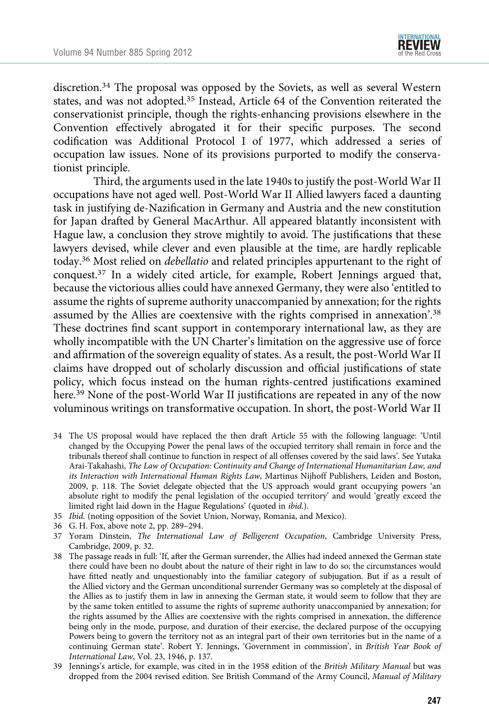discretion.34 The proposal was opposed by the Soviets, as well as several Western states, and was not adopted.35 Instead, Article 64 of the Convention reiterated the conservationist principle, though the rights-enhancing provisions elsewhere in the Convention effectively abrogated it for their specific purposes. The second codification was Additional Protocol I of 1977, which addressed a series of occupation law issues. None of its provisions purported to modify the conservationist principle.

Third, the arguments used in the late 1940s to justify the post-World War II occupations have not aged well. Post-World War II Allied lawyers faced a daunting task in justifying de-Nazification in Germany and Austria and the new constitution for Japan drafted by General MacArthur. All appeared blatantly inconsistent with Hague law, a conclusion they strove mightily to avoid. The justifications that these lawyers devised, while clever and even plausible at the time, are hardly replicable today.36 Most relied on debellatio and related principles appurtenant to the right of conquest.37 In a widely cited article, for example, Robert Jennings argued that, because the victorious allies could have annexed Germany, they were also 'entitled to assume the rights of supreme authority unaccompanied by annexation; for the rights assumed by the Allies are coextensive with the rights comprised in annexation'.<sup>38</sup> These doctrines find scant support in contemporary international law, as they are wholly incompatible with the UN Charter's limitation on the aggressive use of force and affirmation of the sovereign equality of states. As a result, the post-World War II claims have dropped out of scholarly discussion and official justifications of state policy, which focus instead on the human rights-centred justifications examined here.<sup>39</sup> None of the post-World War II justifications are repeated in any of the now voluminous writings on transformative occupation. In short, the post-World War II

- 34 The US proposal would have replaced the then draft Article 55 with the following language: 'Until changed by the Occupying Power the penal laws of the occupied territory shall remain in force and the tribunals thereof shall continue to function in respect of all offenses covered by the said laws'. See Yutaka Arai-Takahashi, The Law of Occupation: Continuity and Change of International Humanitarian Law, and its Interaction with International Human Rights Law, Martinus Nijhoff Publishers, Leiden and Boston, 2009, p. 118. The Soviet delegate objected that the US approach would grant occupying powers 'an absolute right to modify the penal legislation of the occupied territory' and would 'greatly exceed the limited right laid down in the Hague Regulations' (quoted in ibid.).
- 35 Ibid. (noting opposition of the Soviet Union, Norway, Romania, and Mexico).
- 36 G. H. Fox, above note 2, pp. 289–294.
- 37 Yoram Dinstein, The International Law of Belligerent Occupation, Cambridge University Press, Cambridge, 2009, p. 32.
- 38 The passage reads in full: 'If, after the German surrender, the Allies had indeed annexed the German state there could have been no doubt about the nature of their right in law to do so; the circumstances would have fitted neatly and unquestionably into the familiar category of subjugation. But if as a result of the Allied victory and the German unconditional surrender Germany was so completely at the disposal of the Allies as to justify them in law in annexing the German state, it would seem to follow that they are by the same token entitled to assume the rights of supreme authority unaccompanied by annexation; for the rights assumed by the Allies are coextensive with the rights comprised in annexation, the difference being only in the mode, purpose, and duration of their exercise, the declared purpose of the occupying Powers being to govern the territory not as an integral part of their own territories but in the name of a continuing German state'. Robert Y. Jennings, 'Government in commission', in British Year Book of International Law, Vol. 23, 1946, p. 137.
- 39 Jennings's article, for example, was cited in in the 1958 edition of the British Military Manual but was dropped from the 2004 revised edition. See British Command of the Army Council, Manual of Military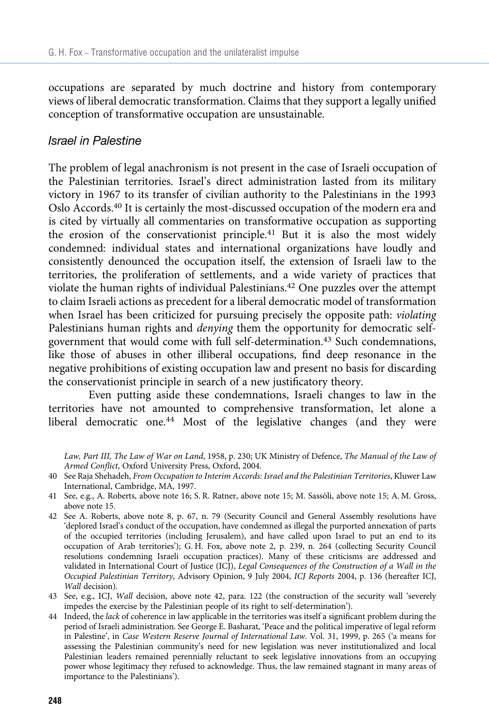occupations are separated by much doctrine and history from contemporary views of liberal democratic transformation. Claims that they support a legally unified conception of transformative occupation are unsustainable.

#### Israel in Palestine

The problem of legal anachronism is not present in the case of Israeli occupation of the Palestinian territories. Israel's direct administration lasted from its military victory in 1967 to its transfer of civilian authority to the Palestinians in the 1993 Oslo Accords.40 It is certainly the most-discussed occupation of the modern era and is cited by virtually all commentaries on transformative occupation as supporting the erosion of the conservationist principle.<sup>41</sup> But it is also the most widely condemned: individual states and international organizations have loudly and consistently denounced the occupation itself, the extension of Israeli law to the territories, the proliferation of settlements, and a wide variety of practices that violate the human rights of individual Palestinians.<sup>42</sup> One puzzles over the attempt to claim Israeli actions as precedent for a liberal democratic model of transformation when Israel has been criticized for pursuing precisely the opposite path: *violating* Palestinians human rights and denying them the opportunity for democratic selfgovernment that would come with full self-determination.43 Such condemnations, like those of abuses in other illiberal occupations, find deep resonance in the negative prohibitions of existing occupation law and present no basis for discarding the conservationist principle in search of a new justificatory theory.

Even putting aside these condemnations, Israeli changes to law in the territories have not amounted to comprehensive transformation, let alone a liberal democratic one.<sup>44</sup> Most of the legislative changes (and they were

Law, Part III, The Law of War on Land, 1958, p. 230; UK Ministry of Defence, The Manual of the Law of Armed Conflict, Oxford University Press, Oxford, 2004.

- 40 See Raja Shehadeh, From Occupation to Interim Accords: Israel and the Palestinian Territories, Kluwer Law International, Cambridge, MA, 1997.
- 41 See, e.g., A. Roberts, above note 16; S. R. Ratner, above note 15; M. Sassòli, above note 15; A. M. Gross, above note 15.
- 42 See A. Roberts, above note 8, p. 67, n. 79 (Security Council and General Assembly resolutions have 'deplored Israel's conduct of the occupation, have condemned as illegal the purported annexation of parts of the occupied territories (including Jerusalem), and have called upon Israel to put an end to its occupation of Arab territories'); G. H. Fox, above note 2, p. 239, n. 264 (collecting Security Council resolutions condemning Israeli occupation practices). Many of these criticisms are addressed and validated in International Court of Justice (ICJ), Legal Consequences of the Construction of a Wall in the Occupied Palestinian Territory, Advisory Opinion, 9 July 2004, ICJ Reports 2004, p. 136 (hereafter ICJ, Wall decision).
- 43 See, e.g., ICJ, Wall decision, above note 42, para. 122 (the construction of the security wall 'severely impedes the exercise by the Palestinian people of its right to self-determination').
- 44 Indeed, the lack of coherence in law applicable in the territories was itself a significant problem during the period of Israeli administration. See George E. Basharat, 'Peace and the political imperative of legal reform in Palestine', in Case Western Reserve Journal of International Law. Vol. 31, 1999, p. 265 ('a means for assessing the Palestinian community's need for new legislation was never institutionalized and local Palestinian leaders remained perennially reluctant to seek legislative innovations from an occupying power whose legitimacy they refused to acknowledge. Thus, the law remained stagnant in many areas of importance to the Palestinians').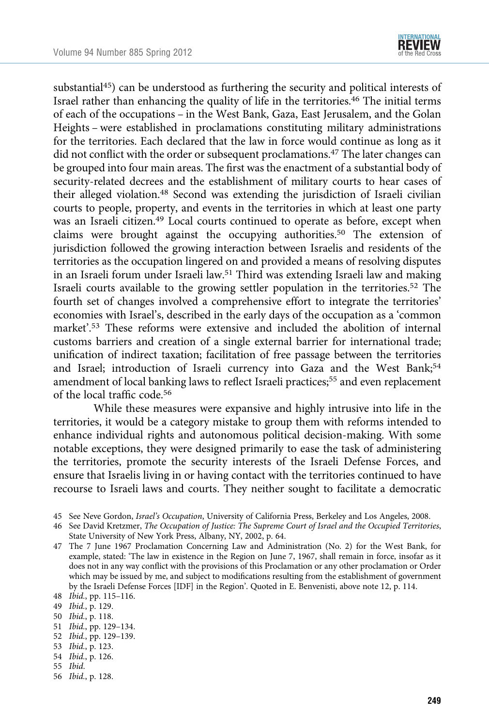

substantial45) can be understood as furthering the security and political interests of Israel rather than enhancing the quality of life in the territories.<sup>46</sup> The initial terms of each of the occupations – in the West Bank, Gaza, East Jerusalem, and the Golan Heights – were established in proclamations constituting military administrations for the territories. Each declared that the law in force would continue as long as it did not conflict with the order or subsequent proclamations.<sup>47</sup> The later changes can be grouped into four main areas. The first was the enactment of a substantial body of security-related decrees and the establishment of military courts to hear cases of their alleged violation.48 Second was extending the jurisdiction of Israeli civilian courts to people, property, and events in the territories in which at least one party was an Israeli citizen.<sup>49</sup> Local courts continued to operate as before, except when claims were brought against the occupying authorities.50 The extension of jurisdiction followed the growing interaction between Israelis and residents of the territories as the occupation lingered on and provided a means of resolving disputes in an Israeli forum under Israeli law.51 Third was extending Israeli law and making Israeli courts available to the growing settler population in the territories.52 The fourth set of changes involved a comprehensive effort to integrate the territories' economies with Israel's, described in the early days of the occupation as a 'common market'.<sup>53</sup> These reforms were extensive and included the abolition of internal customs barriers and creation of a single external barrier for international trade; unification of indirect taxation; facilitation of free passage between the territories and Israel; introduction of Israeli currency into Gaza and the West Bank;<sup>54</sup> amendment of local banking laws to reflect Israeli practices;55 and even replacement of the local traffic code.56

While these measures were expansive and highly intrusive into life in the territories, it would be a category mistake to group them with reforms intended to enhance individual rights and autonomous political decision-making. With some notable exceptions, they were designed primarily to ease the task of administering the territories, promote the security interests of the Israeli Defense Forces, and ensure that Israelis living in or having contact with the territories continued to have recourse to Israeli laws and courts. They neither sought to facilitate a democratic

- 45 See Neve Gordon, Israel's Occupation, University of California Press, Berkeley and Los Angeles, 2008.
- 46 See David Kretzmer, The Occupation of Justice: The Supreme Court of Israel and the Occupied Territories, State University of New York Press, Albany, NY, 2002, p. 64.
- 47 The 7 June 1967 Proclamation Concerning Law and Administration (No. 2) for the West Bank, for example, stated: 'The law in existence in the Region on June 7, 1967, shall remain in force, insofar as it does not in any way conflict with the provisions of this Proclamation or any other proclamation or Order which may be issued by me, and subject to modifications resulting from the establishment of government by the Israeli Defense Forces [IDF] in the Region'. Quoted in E. Benvenisti, above note 12, p. 114.

- 49 Ibid., p. 129.
- 50 Ibid., p. 118.
- 51 Ibid., pp. 129–134.
- 52 Ibid., pp. 129–139.
- 53 Ibid., p. 123.
- 54 Ibid., p. 126.
- 55 Ibid.
- 56 Ibid., p. 128.

<sup>48</sup> Ibid., pp. 115–116.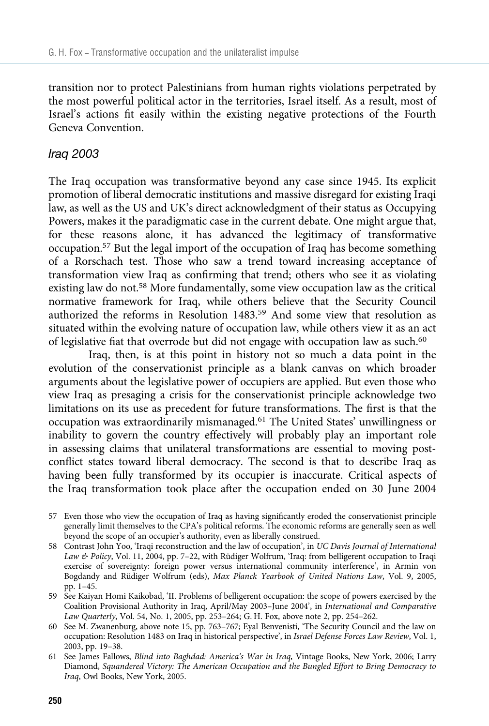transition nor to protect Palestinians from human rights violations perpetrated by the most powerful political actor in the territories, Israel itself. As a result, most of Israel's actions fit easily within the existing negative protections of the Fourth Geneva Convention.

## Iraq 2003

The Iraq occupation was transformative beyond any case since 1945. Its explicit promotion of liberal democratic institutions and massive disregard for existing Iraqi law, as well as the US and UK's direct acknowledgment of their status as Occupying Powers, makes it the paradigmatic case in the current debate. One might argue that, for these reasons alone, it has advanced the legitimacy of transformative occupation.57 But the legal import of the occupation of Iraq has become something of a Rorschach test. Those who saw a trend toward increasing acceptance of transformation view Iraq as confirming that trend; others who see it as violating existing law do not.58 More fundamentally, some view occupation law as the critical normative framework for Iraq, while others believe that the Security Council authorized the reforms in Resolution 1483.59 And some view that resolution as situated within the evolving nature of occupation law, while others view it as an act of legislative fiat that overrode but did not engage with occupation law as such.<sup>60</sup>

Iraq, then, is at this point in history not so much a data point in the evolution of the conservationist principle as a blank canvas on which broader arguments about the legislative power of occupiers are applied. But even those who view Iraq as presaging a crisis for the conservationist principle acknowledge two limitations on its use as precedent for future transformations. The first is that the occupation was extraordinarily mismanaged.<sup>61</sup> The United States' unwillingness or inability to govern the country effectively will probably play an important role in assessing claims that unilateral transformations are essential to moving postconflict states toward liberal democracy. The second is that to describe Iraq as having been fully transformed by its occupier is inaccurate. Critical aspects of the Iraq transformation took place after the occupation ended on 30 June 2004

- 57 Even those who view the occupation of Iraq as having significantly eroded the conservationist principle generally limit themselves to the CPA's political reforms. The economic reforms are generally seen as well beyond the scope of an occupier's authority, even as liberally construed.
- 58 Contrast John Yoo, 'Iraqi reconstruction and the law of occupation', in UC Davis Journal of International Law & Policy, Vol. 11, 2004, pp. 7-22, with Rüdiger Wolfrum, 'Iraq: from belligerent occupation to Iraqi exercise of sovereignty: foreign power versus international community interference', in Armin von Bogdandy and Rüdiger Wolfrum (eds), Max Planck Yearbook of United Nations Law, Vol. 9, 2005, pp. 1–45.
- 59 See Kaiyan Homi Kaikobad, 'II. Problems of belligerent occupation: the scope of powers exercised by the Coalition Provisional Authority in Iraq, April/May 2003–June 2004', in International and Comparative Law Quarterly, Vol. 54, No. 1, 2005, pp. 253–264; G. H. Fox, above note 2, pp. 254–262.
- 60 See M. Zwanenburg, above note 15, pp. 763–767; Eyal Benvenisti, 'The Security Council and the law on occupation: Resolution 1483 on Iraq in historical perspective', in Israel Defense Forces Law Review, Vol. 1, 2003, pp. 19–38.
- 61 See James Fallows, Blind into Baghdad: America's War in Iraq, Vintage Books, New York, 2006; Larry Diamond, Squandered Victory: The American Occupation and the Bungled Effort to Bring Democracy to Iraq, Owl Books, New York, 2005.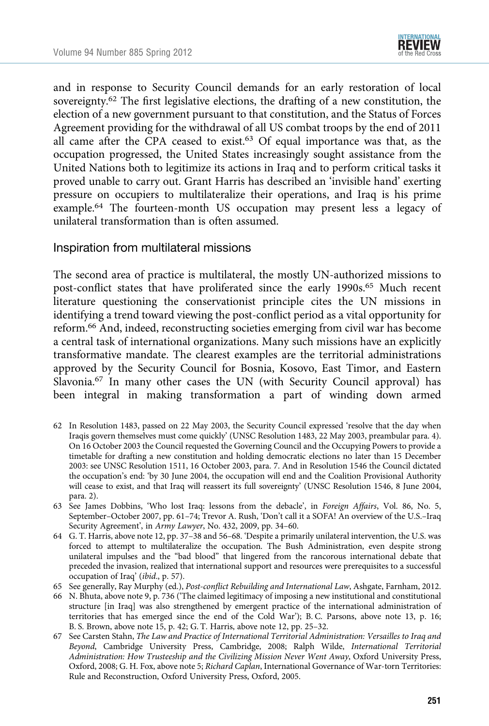

and in response to Security Council demands for an early restoration of local sovereignty.<sup>62</sup> The first legislative elections, the drafting of a new constitution, the election of a new government pursuant to that constitution, and the Status of Forces Agreement providing for the withdrawal of all US combat troops by the end of 2011 all came after the CPA ceased to exist.63 Of equal importance was that, as the occupation progressed, the United States increasingly sought assistance from the United Nations both to legitimize its actions in Iraq and to perform critical tasks it proved unable to carry out. Grant Harris has described an 'invisible hand' exerting pressure on occupiers to multilateralize their operations, and Iraq is his prime example.64 The fourteen-month US occupation may present less a legacy of unilateral transformation than is often assumed.

Inspiration from multilateral missions

The second area of practice is multilateral, the mostly UN-authorized missions to post-conflict states that have proliferated since the early 1990s.65 Much recent literature questioning the conservationist principle cites the UN missions in identifying a trend toward viewing the post-conflict period as a vital opportunity for reform.<sup>66</sup> And, indeed, reconstructing societies emerging from civil war has become a central task of international organizations. Many such missions have an explicitly transformative mandate. The clearest examples are the territorial administrations approved by the Security Council for Bosnia, Kosovo, East Timor, and Eastern Slavonia.67 In many other cases the UN (with Security Council approval) has been integral in making transformation a part of winding down armed

- 62 In Resolution 1483, passed on 22 May 2003, the Security Council expressed 'resolve that the day when Iraqis govern themselves must come quickly' (UNSC Resolution 1483, 22 May 2003, preambular para. 4). On 16 October 2003 the Council requested the Governing Council and the Occupying Powers to provide a timetable for drafting a new constitution and holding democratic elections no later than 15 December 2003: see UNSC Resolution 1511, 16 October 2003, para. 7. And in Resolution 1546 the Council dictated the occupation's end: 'by 30 June 2004, the occupation will end and the Coalition Provisional Authority will cease to exist, and that Iraq will reassert its full sovereignty' (UNSC Resolution 1546, 8 June 2004, para. 2).
- 63 See James Dobbins, 'Who lost Iraq: lessons from the debacle', in Foreign Affairs, Vol. 86, No. 5, September–October 2007, pp. 61–74; Trevor A. Rush, 'Don't call it a SOFA! An overview of the U.S.–Iraq Security Agreement', in Army Lawyer, No. 432, 2009, pp. 34–60.
- 64 G. T. Harris, above note 12, pp. 37–38 and 56–68. 'Despite a primarily unilateral intervention, the U.S. was forced to attempt to multilateralize the occupation. The Bush Administration, even despite strong unilateral impulses and the "bad blood" that lingered from the rancorous international debate that preceded the invasion, realized that international support and resources were prerequisites to a successful occupation of Iraq' (ibid., p. 57).
- 65 See generally, Ray Murphy (ed.), Post-conflict Rebuilding and International Law, Ashgate, Farnham, 2012.
- 66 N. Bhuta, above note 9, p. 736 ('The claimed legitimacy of imposing a new institutional and constitutional structure [in Iraq] was also strengthened by emergent practice of the international administration of territories that has emerged since the end of the Cold War'); B. C. Parsons, above note 13, p. 16; B. S. Brown, above note 15, p. 42; G. T. Harris, above note 12, pp. 25–32.
- 67 See Carsten Stahn, The Law and Practice of International Territorial Administration: Versailles to Iraq and Beyond, Cambridge University Press, Cambridge, 2008; Ralph Wilde, International Territorial Administration: How Trusteeship and the Civilizing Mission Never Went Away, Oxford University Press, Oxford, 2008; G. H. Fox, above note 5; Richard Caplan, International Governance of War-torn Territories: Rule and Reconstruction, Oxford University Press, Oxford, 2005.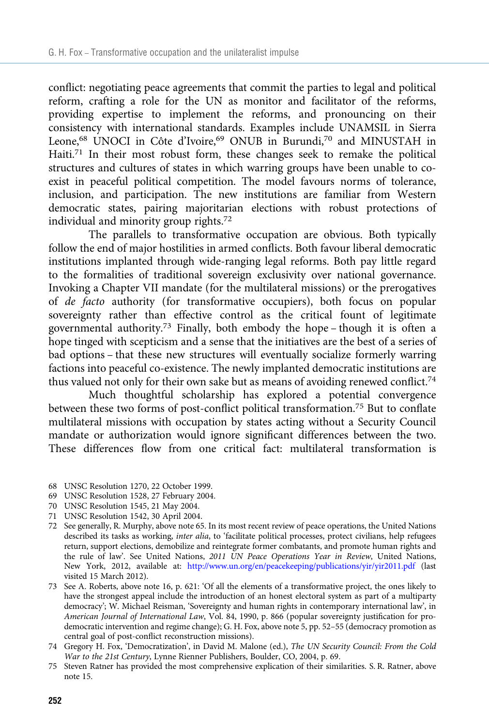conflict: negotiating peace agreements that commit the parties to legal and political reform, crafting a role for the UN as monitor and facilitator of the reforms, providing expertise to implement the reforms, and pronouncing on their consistency with international standards. Examples include UNAMSIL in Sierra Leone,<sup>68</sup> UNOCI in Côte d'Ivoire,<sup>69</sup> ONUB in Burundi,<sup>70</sup> and MINUSTAH in Haiti.71 In their most robust form, these changes seek to remake the political structures and cultures of states in which warring groups have been unable to coexist in peaceful political competition. The model favours norms of tolerance, inclusion, and participation. The new institutions are familiar from Western democratic states, pairing majoritarian elections with robust protections of individual and minority group rights.72

The parallels to transformative occupation are obvious. Both typically follow the end of major hostilities in armed conflicts. Both favour liberal democratic institutions implanted through wide-ranging legal reforms. Both pay little regard to the formalities of traditional sovereign exclusivity over national governance. Invoking a Chapter VII mandate (for the multilateral missions) or the prerogatives of de facto authority (for transformative occupiers), both focus on popular sovereignty rather than effective control as the critical fount of legitimate governmental authority.<sup>73</sup> Finally, both embody the hope – though it is often a hope tinged with scepticism and a sense that the initiatives are the best of a series of bad options – that these new structures will eventually socialize formerly warring factions into peaceful co-existence. The newly implanted democratic institutions are thus valued not only for their own sake but as means of avoiding renewed conflict.<sup>74</sup>

Much thoughtful scholarship has explored a potential convergence between these two forms of post-conflict political transformation.75 But to conflate multilateral missions with occupation by states acting without a Security Council mandate or authorization would ignore significant differences between the two. These differences flow from one critical fact: multilateral transformation is

- 68 UNSC Resolution 1270, 22 October 1999.
- 69 UNSC Resolution 1528, 27 February 2004.
- 70 UNSC Resolution 1545, 21 May 2004.
- 71 UNSC Resolution 1542, 30 April 2004.
- 72 See generally, R. Murphy, above note 65. In its most recent review of peace operations, the United Nations described its tasks as working, inter alia, to 'facilitate political processes, protect civilians, help refugees return, support elections, demobilize and reintegrate former combatants, and promote human rights and the rule of law'. See United Nations, 2011 UN Peace Operations Year in Review, United Nations, New York, 2012, available at: <http://www.un.org/en/peacekeeping/publications/yir/yir2011.pdf> (last visited 15 March 2012).
- 73 See A. Roberts, above note 16, p. 621: 'Of all the elements of a transformative project, the ones likely to have the strongest appeal include the introduction of an honest electoral system as part of a multiparty democracy'; W. Michael Reisman, 'Sovereignty and human rights in contemporary international law', in American Journal of International Law, Vol. 84, 1990, p. 866 (popular sovereignty justification for prodemocratic intervention and regime change); G. H. Fox, above note 5, pp. 52–55 (democracy promotion as central goal of post-conflict reconstruction missions).
- 74 Gregory H. Fox, 'Democratization', in David M. Malone (ed.), The UN Security Council: From the Cold War to the 21st Century, Lynne Rienner Publishers, Boulder, CO, 2004, p. 69.
- 75 Steven Ratner has provided the most comprehensive explication of their similarities. S. R. Ratner, above note 15.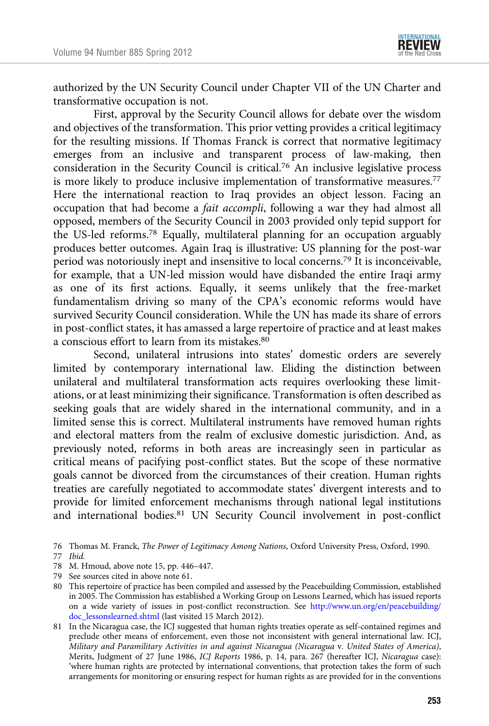

authorized by the UN Security Council under Chapter VII of the UN Charter and transformative occupation is not.

First, approval by the Security Council allows for debate over the wisdom and objectives of the transformation. This prior vetting provides a critical legitimacy for the resulting missions. If Thomas Franck is correct that normative legitimacy emerges from an inclusive and transparent process of law-making, then consideration in the Security Council is critical.76 An inclusive legislative process is more likely to produce inclusive implementation of transformative measures.<sup>77</sup> Here the international reaction to Iraq provides an object lesson. Facing an occupation that had become a fait accompli, following a war they had almost all opposed, members of the Security Council in 2003 provided only tepid support for the US-led reforms.78 Equally, multilateral planning for an occupation arguably produces better outcomes. Again Iraq is illustrative: US planning for the post-war period was notoriously inept and insensitive to local concerns.79 It is inconceivable, for example, that a UN-led mission would have disbanded the entire Iraqi army as one of its first actions. Equally, it seems unlikely that the free-market fundamentalism driving so many of the CPA's economic reforms would have survived Security Council consideration. While the UN has made its share of errors in post-conflict states, it has amassed a large repertoire of practice and at least makes a conscious effort to learn from its mistakes.80

Second, unilateral intrusions into states' domestic orders are severely limited by contemporary international law. Eliding the distinction between unilateral and multilateral transformation acts requires overlooking these limitations, or at least minimizing their significance. Transformation is often described as seeking goals that are widely shared in the international community, and in a limited sense this is correct. Multilateral instruments have removed human rights and electoral matters from the realm of exclusive domestic jurisdiction. And, as previously noted, reforms in both areas are increasingly seen in particular as critical means of pacifying post-conflict states. But the scope of these normative goals cannot be divorced from the circumstances of their creation. Human rights treaties are carefully negotiated to accommodate states' divergent interests and to provide for limited enforcement mechanisms through national legal institutions and international bodies.<sup>81</sup> UN Security Council involvement in post-conflict

<sup>76</sup> Thomas M. Franck, The Power of Legitimacy Among Nations, Oxford University Press, Oxford, 1990. 77 Ibid.

<sup>78</sup> M. Hmoud, above note 15, pp. 446–447.

<sup>79</sup> See sources cited in above note 61.

<sup>80</sup> This repertoire of practice has been compiled and assessed by the Peacebuilding Commission, established in 2005. The Commission has established a Working Group on Lessons Learned, which has issued reports on a wide variety of issues in post-conflict reconstruction. See [http://www.un.org/en/peacebuilding/](http://www.un.org/en/peacebuilding/doc_lessonslearned.shtml) [doc\\_lessonslearned.shtml](http://www.un.org/en/peacebuilding/doc_lessonslearned.shtml) (last visited 15 March 2012).

<sup>81</sup> In the Nicaragua case, the ICJ suggested that human rights treaties operate as self-contained regimes and preclude other means of enforcement, even those not inconsistent with general international law. ICJ, Military and Paramilitary Activities in and against Nicaragua (Nicaragua v. United States of America), Merits, Judgment of 27 June 1986, ICJ Reports 1986, p. 14, para. 267 (hereafter ICJ, Nicaragua case): 'where human rights are protected by international conventions, that protection takes the form of such arrangements for monitoring or ensuring respect for human rights as are provided for in the conventions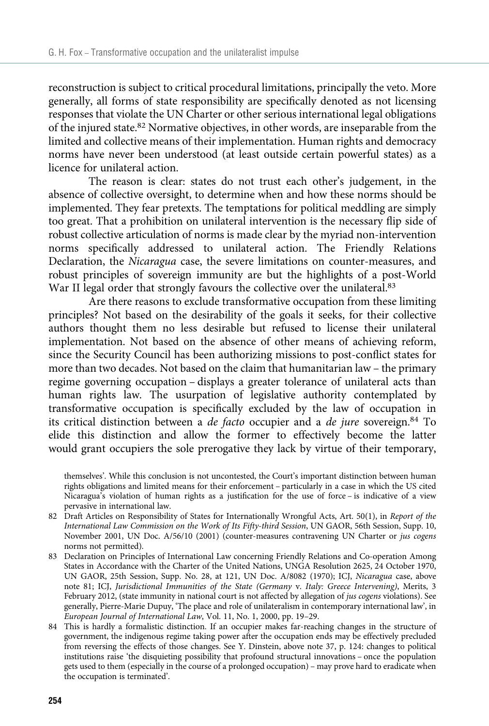reconstruction is subject to critical procedural limitations, principally the veto. More generally, all forms of state responsibility are specifically denoted as not licensing responses that violate the UN Charter or other serious international legal obligations of the injured state.<sup>82</sup> Normative objectives, in other words, are inseparable from the limited and collective means of their implementation. Human rights and democracy norms have never been understood (at least outside certain powerful states) as a licence for unilateral action.

The reason is clear: states do not trust each other's judgement, in the absence of collective oversight, to determine when and how these norms should be implemented. They fear pretexts. The temptations for political meddling are simply too great. That a prohibition on unilateral intervention is the necessary flip side of robust collective articulation of norms is made clear by the myriad non-intervention norms specifically addressed to unilateral action. The Friendly Relations Declaration, the Nicaragua case, the severe limitations on counter-measures, and robust principles of sovereign immunity are but the highlights of a post-World War II legal order that strongly favours the collective over the unilateral.<sup>83</sup>

Are there reasons to exclude transformative occupation from these limiting principles? Not based on the desirability of the goals it seeks, for their collective authors thought them no less desirable but refused to license their unilateral implementation. Not based on the absence of other means of achieving reform, since the Security Council has been authorizing missions to post-conflict states for more than two decades. Not based on the claim that humanitarian law – the primary regime governing occupation – displays a greater tolerance of unilateral acts than human rights law. The usurpation of legislative authority contemplated by transformative occupation is specifically excluded by the law of occupation in its critical distinction between a de facto occupier and a de jure sovereign.84 To elide this distinction and allow the former to effectively become the latter would grant occupiers the sole prerogative they lack by virtue of their temporary,

themselves'. While this conclusion is not uncontested, the Court's important distinction between human rights obligations and limited means for their enforcement – particularly in a case in which the US cited Nicaragua's violation of human rights as a justification for the use of force – is indicative of a view pervasive in international law.

- 82 Draft Articles on Responsibility of States for Internationally Wrongful Acts, Art. 50(1), in Report of the International Law Commission on the Work of Its Fifty-third Session, UN GAOR, 56th Session, Supp. 10, November 2001, UN Doc. A/56/10 (2001) (counter-measures contravening UN Charter or jus cogens norms not permitted).
- 83 Declaration on Principles of International Law concerning Friendly Relations and Co-operation Among States in Accordance with the Charter of the United Nations, UNGA Resolution 2625, 24 October 1970, UN GAOR, 25th Session, Supp. No. 28, at 121, UN Doc. A/8082 (1970); ICJ, Nicaragua case, above note 81; ICJ, Jurisdictional Immunities of the State (Germany v. Italy: Greece Intervening), Merits, 3 February 2012, (state immunity in national court is not affected by allegation of jus cogens violations). See generally, Pierre-Marie Dupuy, 'The place and role of unilateralism in contemporary international law', in European Journal of International Law, Vol. 11, No. 1, 2000, pp. 19–29.
- 84 This is hardly a formalistic distinction. If an occupier makes far-reaching changes in the structure of government, the indigenous regime taking power after the occupation ends may be effectively precluded from reversing the effects of those changes. See Y. Dinstein, above note 37, p. 124: changes to political institutions raise 'the disquieting possibility that profound structural innovations – once the population gets used to them (especially in the course of a prolonged occupation) – may prove hard to eradicate when the occupation is terminated'.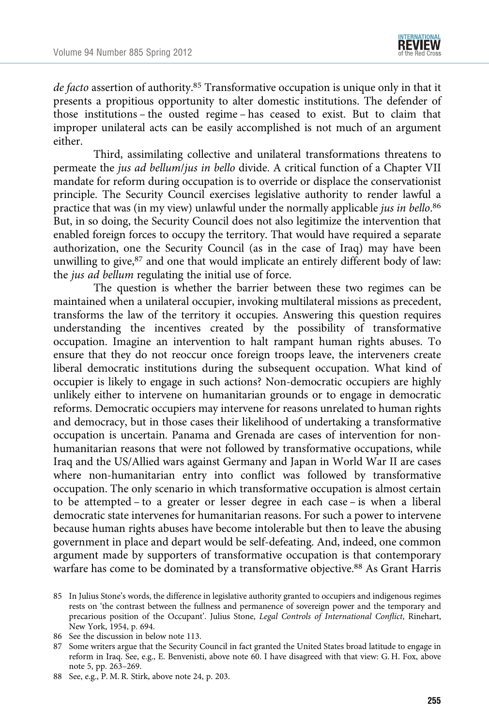de facto assertion of authority.<sup>85</sup> Transformative occupation is unique only in that it presents a propitious opportunity to alter domestic institutions. The defender of those institutions – the ousted regime – has ceased to exist. But to claim that improper unilateral acts can be easily accomplished is not much of an argument either.

Third, assimilating collective and unilateral transformations threatens to permeate the jus ad bellum/jus in bello divide. A critical function of a Chapter VII mandate for reform during occupation is to override or displace the conservationist principle. The Security Council exercises legislative authority to render lawful a practice that was (in my view) unlawful under the normally applicable jus in bello.<sup>86</sup> But, in so doing, the Security Council does not also legitimize the intervention that enabled foreign forces to occupy the territory. That would have required a separate authorization, one the Security Council (as in the case of Iraq) may have been unwilling to give,<sup>87</sup> and one that would implicate an entirely different body of law: the jus ad bellum regulating the initial use of force.

The question is whether the barrier between these two regimes can be maintained when a unilateral occupier, invoking multilateral missions as precedent, transforms the law of the territory it occupies. Answering this question requires understanding the incentives created by the possibility of transformative occupation. Imagine an intervention to halt rampant human rights abuses. To ensure that they do not reoccur once foreign troops leave, the interveners create liberal democratic institutions during the subsequent occupation. What kind of occupier is likely to engage in such actions? Non-democratic occupiers are highly unlikely either to intervene on humanitarian grounds or to engage in democratic reforms. Democratic occupiers may intervene for reasons unrelated to human rights and democracy, but in those cases their likelihood of undertaking a transformative occupation is uncertain. Panama and Grenada are cases of intervention for nonhumanitarian reasons that were not followed by transformative occupations, while Iraq and the US/Allied wars against Germany and Japan in World War II are cases where non-humanitarian entry into conflict was followed by transformative occupation. The only scenario in which transformative occupation is almost certain to be attempted – to a greater or lesser degree in each case – is when a liberal democratic state intervenes for humanitarian reasons. For such a power to intervene because human rights abuses have become intolerable but then to leave the abusing government in place and depart would be self-defeating. And, indeed, one common argument made by supporters of transformative occupation is that contemporary warfare has come to be dominated by a transformative objective.<sup>88</sup> As Grant Harris

<sup>85</sup> In Julius Stone's words, the difference in legislative authority granted to occupiers and indigenous regimes rests on 'the contrast between the fullness and permanence of sovereign power and the temporary and precarious position of the Occupant'. Julius Stone, Legal Controls of International Conflict, Rinehart, New York, 1954, p. 694.

<sup>86</sup> See the discussion in below note 113.

<sup>87</sup> Some writers argue that the Security Council in fact granted the United States broad latitude to engage in reform in Iraq. See, e.g., E. Benvenisti, above note 60. I have disagreed with that view: G. H. Fox, above note 5, pp. 263–269.

<sup>88</sup> See, e.g., P. M. R. Stirk, above note 24, p. 203.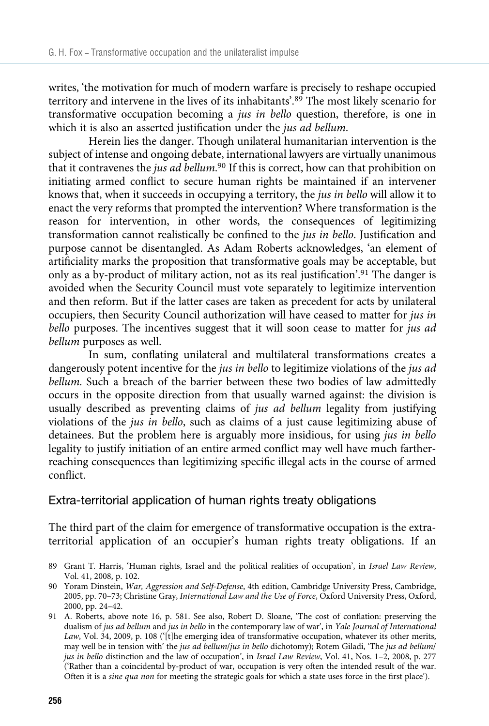writes, 'the motivation for much of modern warfare is precisely to reshape occupied territory and intervene in the lives of its inhabitants'. <sup>89</sup> The most likely scenario for transformative occupation becoming a jus in bello question, therefore, is one in which it is also an asserted justification under the *jus ad bellum*.

Herein lies the danger. Though unilateral humanitarian intervention is the subject of intense and ongoing debate, international lawyers are virtually unanimous that it contravenes the jus ad bellum.<sup>90</sup> If this is correct, how can that prohibition on initiating armed conflict to secure human rights be maintained if an intervener knows that, when it succeeds in occupying a territory, the jus in bello will allow it to enact the very reforms that prompted the intervention? Where transformation is the reason for intervention, in other words, the consequences of legitimizing transformation cannot realistically be confined to the jus in bello. Justification and purpose cannot be disentangled. As Adam Roberts acknowledges, 'an element of artificiality marks the proposition that transformative goals may be acceptable, but only as a by-product of military action, not as its real justification'. <sup>91</sup> The danger is avoided when the Security Council must vote separately to legitimize intervention and then reform. But if the latter cases are taken as precedent for acts by unilateral occupiers, then Security Council authorization will have ceased to matter for jus in bello purposes. The incentives suggest that it will soon cease to matter for jus ad bellum purposes as well.

In sum, conflating unilateral and multilateral transformations creates a dangerously potent incentive for the jus in bello to legitimize violations of the jus ad bellum. Such a breach of the barrier between these two bodies of law admittedly occurs in the opposite direction from that usually warned against: the division is usually described as preventing claims of *jus ad bellum* legality from justifying violations of the jus in bello, such as claims of a just cause legitimizing abuse of detainees. But the problem here is arguably more insidious, for using jus in bello legality to justify initiation of an entire armed conflict may well have much fartherreaching consequences than legitimizing specific illegal acts in the course of armed conflict.

## $E = \frac{1}{2}$

The third part of the claim for emergence of transformative occupation is the extraterritorial application of an occupier's human rights treaty obligations. If an

<sup>89</sup> Grant T. Harris, 'Human rights, Israel and the political realities of occupation', in Israel Law Review, Vol. 41, 2008, p. 102.

<sup>90</sup> Yoram Dinstein, War, Aggression and Self-Defense, 4th edition, Cambridge University Press, Cambridge, 2005, pp. 70–73; Christine Gray, International Law and the Use of Force, Oxford University Press, Oxford, 2000, pp. 24–42.

<sup>91</sup> A. Roberts, above note 16, p. 581. See also, Robert D. Sloane, 'The cost of conflation: preserving the dualism of jus ad bellum and jus in bello in the contemporary law of war', in Yale Journal of International Law, Vol. 34, 2009, p. 108 ('[t]he emerging idea of transformative occupation, whatever its other merits, may well be in tension with' the jus ad bellum/jus in bello dichotomy); Rotem Giladi, 'The jus ad bellum/ jus in bello distinction and the law of occupation', in Israel Law Review, Vol. 41, Nos. 1–2, 2008, p. 277 ('Rather than a coincidental by-product of war, occupation is very often the intended result of the war. Often it is a sine qua non for meeting the strategic goals for which a state uses force in the first place').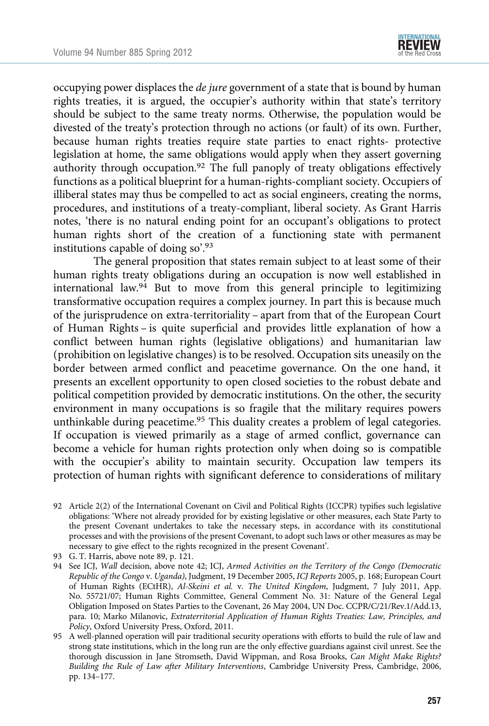occupying power displaces the de jure government of a state that is bound by human rights treaties, it is argued, the occupier's authority within that state's territory should be subject to the same treaty norms. Otherwise, the population would be divested of the treaty's protection through no actions (or fault) of its own. Further, because human rights treaties require state parties to enact rights- protective legislation at home, the same obligations would apply when they assert governing authority through occupation.92 The full panoply of treaty obligations effectively functions as a political blueprint for a human-rights-compliant society. Occupiers of illiberal states may thus be compelled to act as social engineers, creating the norms, procedures, and institutions of a treaty-compliant, liberal society. As Grant Harris notes, 'there is no natural ending point for an occupant's obligations to protect human rights short of the creation of a functioning state with permanent institutions capable of doing so'. 93

The general proposition that states remain subject to at least some of their human rights treaty obligations during an occupation is now well established in international law.<sup>94</sup> But to move from this general principle to legitimizing transformative occupation requires a complex journey. In part this is because much of the jurisprudence on extra-territoriality – apart from that of the European Court of Human Rights – is quite superficial and provides little explanation of how a conflict between human rights (legislative obligations) and humanitarian law (prohibition on legislative changes) is to be resolved. Occupation sits uneasily on the border between armed conflict and peacetime governance. On the one hand, it presents an excellent opportunity to open closed societies to the robust debate and political competition provided by democratic institutions. On the other, the security environment in many occupations is so fragile that the military requires powers unthinkable during peacetime.95 This duality creates a problem of legal categories. If occupation is viewed primarily as a stage of armed conflict, governance can become a vehicle for human rights protection only when doing so is compatible with the occupier's ability to maintain security. Occupation law tempers its protection of human rights with significant deference to considerations of military

93 G. T. Harris, above note 89, p. 121.

94 See ICJ, Wall decision, above note 42; ICJ, Armed Activities on the Territory of the Congo (Democratic Republic of the Congo v. Uganda), Judgment, 19 December 2005, ICJ Reports 2005, p. 168; European Court of Human Rights (ECtHR), Al-Skeini et al. v. The United Kingdom, Judgment, 7 July 2011, App. No. 55721/07; Human Rights Committee, General Comment No. 31: Nature of the General Legal Obligation Imposed on States Parties to the Covenant, 26 May 2004, UN Doc. CCPR/C/21/Rev.1/Add.13, para. 10; Marko Milanovic, Extraterritorial Application of Human Rights Treaties: Law, Principles, and Policy, Oxford University Press, Oxford, 2011.

<sup>92</sup> Article 2(2) of the International Covenant on Civil and Political Rights (ICCPR) typifies such legislative obligations: 'Where not already provided for by existing legislative or other measures, each State Party to the present Covenant undertakes to take the necessary steps, in accordance with its constitutional processes and with the provisions of the present Covenant, to adopt such laws or other measures as may be necessary to give effect to the rights recognized in the present Covenant'.

<sup>95</sup> A well-planned operation will pair traditional security operations with efforts to build the rule of law and strong state institutions, which in the long run are the only effective guardians against civil unrest. See the thorough discussion in Jane Stromseth, David Wippman, and Rosa Brooks, Can Might Make Rights? Building the Rule of Law after Military Interventions, Cambridge University Press, Cambridge, 2006, pp. 134–177.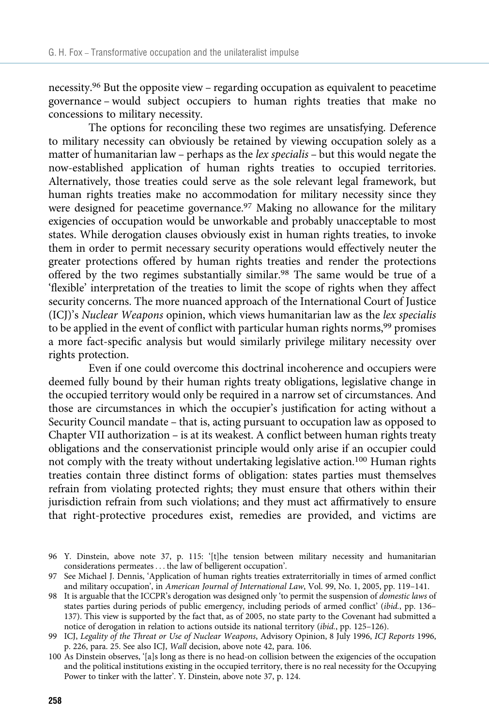necessity.96 But the opposite view – regarding occupation as equivalent to peacetime governance – would subject occupiers to human rights treaties that make no concessions to military necessity.

The options for reconciling these two regimes are unsatisfying. Deference to military necessity can obviously be retained by viewing occupation solely as a matter of humanitarian law – perhaps as the lex specialis – but this would negate the now-established application of human rights treaties to occupied territories. Alternatively, those treaties could serve as the sole relevant legal framework, but human rights treaties make no accommodation for military necessity since they were designed for peacetime governance.<sup>97</sup> Making no allowance for the military exigencies of occupation would be unworkable and probably unacceptable to most states. While derogation clauses obviously exist in human rights treaties, to invoke them in order to permit necessary security operations would effectively neuter the greater protections offered by human rights treaties and render the protections offered by the two regimes substantially similar.98 The same would be true of a 'flexible' interpretation of the treaties to limit the scope of rights when they affect security concerns. The more nuanced approach of the International Court of Justice (ICJ)'s Nuclear Weapons opinion, which views humanitarian law as the lex specialis to be applied in the event of conflict with particular human rights norms,<sup>99</sup> promises a more fact-specific analysis but would similarly privilege military necessity over rights protection.

Even if one could overcome this doctrinal incoherence and occupiers were deemed fully bound by their human rights treaty obligations, legislative change in the occupied territory would only be required in a narrow set of circumstances. And those are circumstances in which the occupier's justification for acting without a Security Council mandate – that is, acting pursuant to occupation law as opposed to Chapter VII authorization – is at its weakest. A conflict between human rights treaty obligations and the conservationist principle would only arise if an occupier could not comply with the treaty without undertaking legislative action.100 Human rights treaties contain three distinct forms of obligation: states parties must themselves refrain from violating protected rights; they must ensure that others within their jurisdiction refrain from such violations; and they must act affirmatively to ensure that right-protective procedures exist, remedies are provided, and victims are

- 96 Y. Dinstein, above note 37, p. 115: '[t]he tension between military necessity and humanitarian considerations permeates ... the law of belligerent occupation'.
- 97 See Michael J. Dennis, 'Application of human rights treaties extraterritorially in times of armed conflict and military occupation', in American Journal of International Law, Vol. 99, No. 1, 2005, pp. 119–141.
- 98 It is arguable that the ICCPR's derogation was designed only 'to permit the suspension of domestic laws of states parties during periods of public emergency, including periods of armed conflict' (ibid., pp. 136– 137). This view is supported by the fact that, as of 2005, no state party to the Covenant had submitted a notice of derogation in relation to actions outside its national territory (ibid., pp. 125–126).
- 99 ICJ, Legality of the Threat or Use of Nuclear Weapons, Advisory Opinion, 8 July 1996, ICJ Reports 1996, p. 226, para. 25. See also ICJ, Wall decision, above note 42, para. 106.
- 100 As Dinstein observes, '[a]s long as there is no head-on collision between the exigencies of the occupation and the political institutions existing in the occupied territory, there is no real necessity for the Occupying Power to tinker with the latter'. Y. Dinstein, above note 37, p. 124.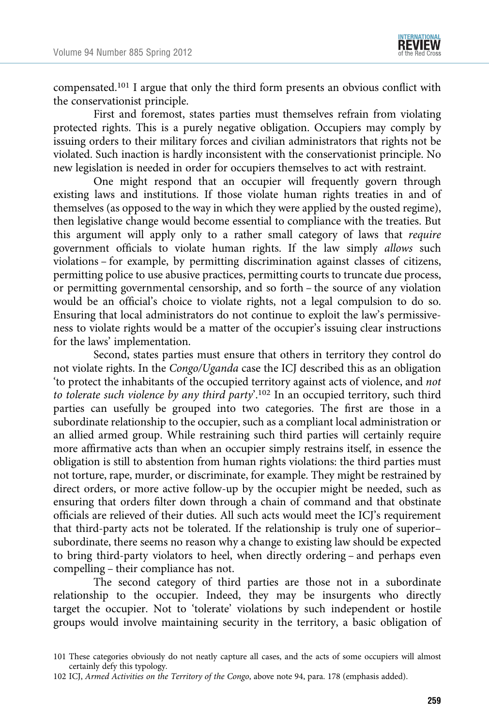compensated.<sup>101</sup> I argue that only the third form presents an obvious conflict with the conservationist principle.

First and foremost, states parties must themselves refrain from violating protected rights. This is a purely negative obligation. Occupiers may comply by issuing orders to their military forces and civilian administrators that rights not be violated. Such inaction is hardly inconsistent with the conservationist principle. No new legislation is needed in order for occupiers themselves to act with restraint.

One might respond that an occupier will frequently govern through existing laws and institutions. If those violate human rights treaties in and of themselves (as opposed to the way in which they were applied by the ousted regime), then legislative change would become essential to compliance with the treaties. But this argument will apply only to a rather small category of laws that require government officials to violate human rights. If the law simply allows such violations – for example, by permitting discrimination against classes of citizens, permitting police to use abusive practices, permitting courts to truncate due process, or permitting governmental censorship, and so forth – the source of any violation would be an official's choice to violate rights, not a legal compulsion to do so. Ensuring that local administrators do not continue to exploit the law's permissiveness to violate rights would be a matter of the occupier's issuing clear instructions for the laws' implementation.

Second, states parties must ensure that others in territory they control do not violate rights. In the Congo/Uganda case the ICJ described this as an obligation 'to protect the inhabitants of the occupied territory against acts of violence, and not to tolerate such violence by any third party'.<sup>102</sup> In an occupied territory, such third parties can usefully be grouped into two categories. The first are those in a subordinate relationship to the occupier, such as a compliant local administration or an allied armed group. While restraining such third parties will certainly require more affirmative acts than when an occupier simply restrains itself, in essence the obligation is still to abstention from human rights violations: the third parties must not torture, rape, murder, or discriminate, for example. They might be restrained by direct orders, or more active follow-up by the occupier might be needed, such as ensuring that orders filter down through a chain of command and that obstinate officials are relieved of their duties. All such acts would meet the ICJ's requirement that third-party acts not be tolerated. If the relationship is truly one of superior– subordinate, there seems no reason why a change to existing law should be expected to bring third-party violators to heel, when directly ordering – and perhaps even compelling – their compliance has not.

The second category of third parties are those not in a subordinate relationship to the occupier. Indeed, they may be insurgents who directly target the occupier. Not to 'tolerate' violations by such independent or hostile groups would involve maintaining security in the territory, a basic obligation of

<sup>101</sup> These categories obviously do not neatly capture all cases, and the acts of some occupiers will almost certainly defy this typology.

<sup>102</sup> ICJ, Armed Activities on the Territory of the Congo, above note 94, para. 178 (emphasis added).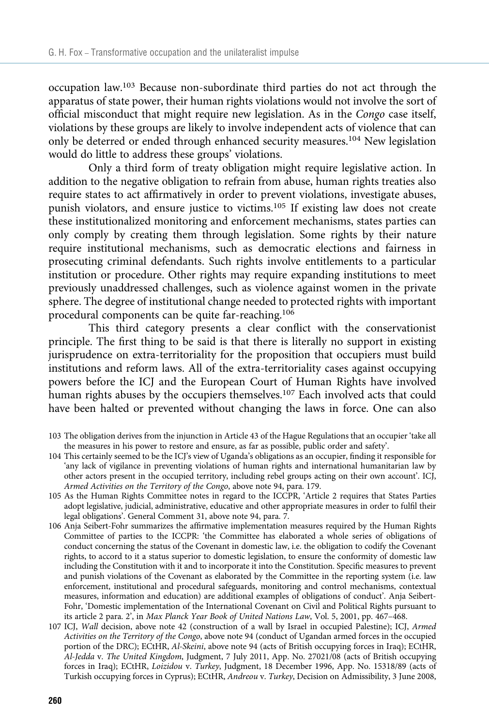occupation law.103 Because non-subordinate third parties do not act through the apparatus of state power, their human rights violations would not involve the sort of official misconduct that might require new legislation. As in the Congo case itself, violations by these groups are likely to involve independent acts of violence that can only be deterred or ended through enhanced security measures.<sup>104</sup> New legislation would do little to address these groups' violations.

Only a third form of treaty obligation might require legislative action. In addition to the negative obligation to refrain from abuse, human rights treaties also require states to act affirmatively in order to prevent violations, investigate abuses, punish violators, and ensure justice to victims.105 If existing law does not create these institutionalized monitoring and enforcement mechanisms, states parties can only comply by creating them through legislation. Some rights by their nature require institutional mechanisms, such as democratic elections and fairness in prosecuting criminal defendants. Such rights involve entitlements to a particular institution or procedure. Other rights may require expanding institutions to meet previously unaddressed challenges, such as violence against women in the private sphere. The degree of institutional change needed to protected rights with important procedural components can be quite far-reaching.106

This third category presents a clear conflict with the conservationist principle. The first thing to be said is that there is literally no support in existing jurisprudence on extra-territoriality for the proposition that occupiers must build institutions and reform laws. All of the extra-territoriality cases against occupying powers before the ICJ and the European Court of Human Rights have involved human rights abuses by the occupiers themselves.<sup>107</sup> Each involved acts that could have been halted or prevented without changing the laws in force. One can also

- 103 The obligation derives from the injunction in Article 43 of the Hague Regulations that an occupier 'take all the measures in his power to restore and ensure, as far as possible, public order and safety'.
- 104 This certainly seemed to be the ICJ's view of Uganda's obligations as an occupier, finding it responsible for 'any lack of vigilance in preventing violations of human rights and international humanitarian law by other actors present in the occupied territory, including rebel groups acting on their own account'. ICJ, Armed Activities on the Territory of the Congo, above note 94, para. 179.
- 105 As the Human Rights Committee notes in regard to the ICCPR, 'Article 2 requires that States Parties adopt legislative, judicial, administrative, educative and other appropriate measures in order to fulfil their legal obligations'. General Comment 31, above note 94, para. 7.
- 106 Anja Seibert-Fohr summarizes the affirmative implementation measures required by the Human Rights Committee of parties to the ICCPR: 'the Committee has elaborated a whole series of obligations of conduct concerning the status of the Covenant in domestic law, i.e. the obligation to codify the Covenant rights, to accord to it a status superior to domestic legislation, to ensure the conformity of domestic law including the Constitution with it and to incorporate it into the Constitution. Specific measures to prevent and punish violations of the Covenant as elaborated by the Committee in the reporting system (i.e. law enforcement, institutional and procedural safeguards, monitoring and control mechanisms, contextual measures, information and education) are additional examples of obligations of conduct'. Anja Seibert-Fohr, 'Domestic implementation of the International Covenant on Civil and Political Rights pursuant to its article 2 para. 2', in Max Planck Year Book of United Nations Law, Vol. 5, 2001, pp. 467–468.
- 107 ICJ, Wall decision, above note 42 (construction of a wall by Israel in occupied Palestine); ICJ, Armed Activities on the Territory of the Congo, above note 94 (conduct of Ugandan armed forces in the occupied portion of the DRC); ECtHR, Al-Skeini, above note 94 (acts of British occupying forces in Iraq); ECtHR, Al-Jedda v. The United Kingdom, Judgment, 7 July 2011, App. No. 27021/08 (acts of British occupying forces in Iraq); ECtHR, Loizidou v. Turkey, Judgment, 18 December 1996, App. No. 15318/89 (acts of Turkish occupying forces in Cyprus); ECtHR, Andreou v. Turkey, Decision on Admissibility, 3 June 2008,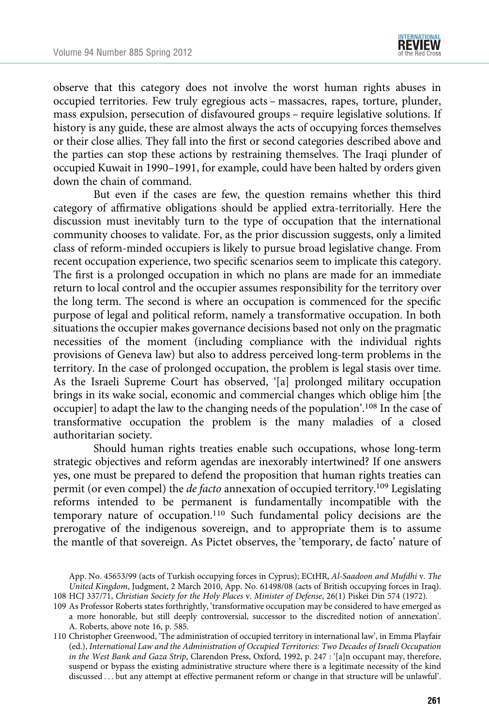

observe that this category does not involve the worst human rights abuses in occupied territories. Few truly egregious acts – massacres, rapes, torture, plunder, mass expulsion, persecution of disfavoured groups – require legislative solutions. If history is any guide, these are almost always the acts of occupying forces themselves or their close allies. They fall into the first or second categories described above and the parties can stop these actions by restraining themselves. The Iraqi plunder of occupied Kuwait in 1990–1991, for example, could have been halted by orders given down the chain of command.

But even if the cases are few, the question remains whether this third category of affirmative obligations should be applied extra-territorially. Here the discussion must inevitably turn to the type of occupation that the international community chooses to validate. For, as the prior discussion suggests, only a limited class of reform-minded occupiers is likely to pursue broad legislative change. From recent occupation experience, two specific scenarios seem to implicate this category. The first is a prolonged occupation in which no plans are made for an immediate return to local control and the occupier assumes responsibility for the territory over the long term. The second is where an occupation is commenced for the specific purpose of legal and political reform, namely a transformative occupation. In both situations the occupier makes governance decisions based not only on the pragmatic necessities of the moment (including compliance with the individual rights provisions of Geneva law) but also to address perceived long-term problems in the territory. In the case of prolonged occupation, the problem is legal stasis over time. As the Israeli Supreme Court has observed, '[a] prolonged military occupation brings in its wake social, economic and commercial changes which oblige him [the occupier] to adapt the law to the changing needs of the population'.<sup>108</sup> In the case of transformative occupation the problem is the many maladies of a closed authoritarian society.

Should human rights treaties enable such occupations, whose long-term strategic objectives and reform agendas are inexorably intertwined? If one answers yes, one must be prepared to defend the proposition that human rights treaties can permit (or even compel) the de facto annexation of occupied territory.<sup>109</sup> Legislating reforms intended to be permanent is fundamentally incompatible with the temporary nature of occupation.110 Such fundamental policy decisions are the prerogative of the indigenous sovereign, and to appropriate them is to assume the mantle of that sovereign. As Pictet observes, the 'temporary, de facto' nature of

- 109 As Professor Roberts states forthrightly, 'transformative occupation may be considered to have emerged as a more honorable, but still deeply controversial, successor to the discredited notion of annexation'. A. Roberts, above note 16, p. 585.
- 110 Christopher Greenwood, 'The administration of occupied territory in international law', in Emma Playfair (ed.), International Law and the Administration of Occupied Territories: Two Decades of Israeli Occupation in the West Bank and Gaza Strip, Clarendon Press, Oxford, 1992, p. 247 : '[a]n occupant may, therefore, suspend or bypass the existing administrative structure where there is a legitimate necessity of the kind discussed ... but any attempt at effective permanent reform or change in that structure will be unlawful'.

App. No. 45653/99 (acts of Turkish occupying forces in Cyprus); ECtHR, Al-Saadoon and Mufdhi v. The United Kingdom, Judgment, 2 March 2010, App. No. 61498/08 (acts of British occupying forces in Iraq). 108 HCJ 337/71, Christian Society for the Holy Places v. Minister of Defense, 26(1) Piskei Din 574 (1972).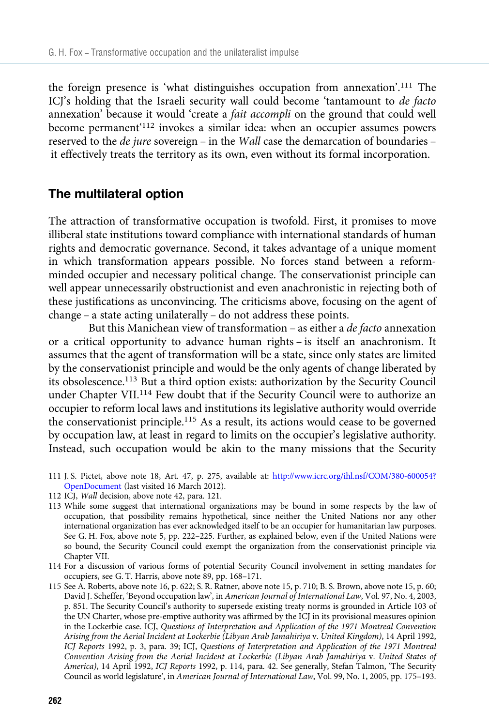the foreign presence is 'what distinguishes occupation from annexation'. <sup>111</sup> The ICJ's holding that the Israeli security wall could become 'tantamount to de facto annexation' because it would 'create a *fait accompli* on the ground that could well become permanent' <sup>112</sup> invokes a similar idea: when an occupier assumes powers reserved to the de jure sovereign – in the Wall case the demarcation of boundaries – it effectively treats the territory as its own, even without its formal incorporation.

## The multilateral option

The attraction of transformative occupation is twofold. First, it promises to move illiberal state institutions toward compliance with international standards of human rights and democratic governance. Second, it takes advantage of a unique moment in which transformation appears possible. No forces stand between a reformminded occupier and necessary political change. The conservationist principle can well appear unnecessarily obstructionist and even anachronistic in rejecting both of these justifications as unconvincing. The criticisms above, focusing on the agent of change – a state acting unilaterally – do not address these points.

But this Manichean view of transformation – as either a de facto annexation or a critical opportunity to advance human rights – is itself an anachronism. It assumes that the agent of transformation will be a state, since only states are limited by the conservationist principle and would be the only agents of change liberated by its obsolescence.<sup>113</sup> But a third option exists: authorization by the Security Council under Chapter VII.<sup>114</sup> Few doubt that if the Security Council were to authorize an occupier to reform local laws and institutions its legislative authority would override the conservationist principle.115 As a result, its actions would cease to be governed by occupation law, at least in regard to limits on the occupier's legislative authority. Instead, such occupation would be akin to the many missions that the Security

- 111 J. S. Pictet, above note 18, Art. 47, p. 275, available at: [http://www.icrc.org/ihl.nsf/COM/380-600054?](http://www.icrc.org/ihl.nsf/COM/380-600054?OpenDocument) [OpenDocument](http://www.icrc.org/ihl.nsf/COM/380-600054?OpenDocument) (last visited 16 March 2012).
- 112 ICJ, Wall decision, above note 42, para. 121.
- 113 While some suggest that international organizations may be bound in some respects by the law of occupation, that possibility remains hypothetical, since neither the United Nations nor any other international organization has ever acknowledged itself to be an occupier for humanitarian law purposes. See G. H. Fox, above note 5, pp. 222–225. Further, as explained below, even if the United Nations were so bound, the Security Council could exempt the organization from the conservationist principle via Chapter VII.
- 114 For a discussion of various forms of potential Security Council involvement in setting mandates for occupiers, see G. T. Harris, above note 89, pp. 168–171.
- 115 See A. Roberts, above note 16, p. 622; S. R. Ratner, above note 15, p. 710; B. S. Brown, above note 15, p. 60; David J. Scheffer, 'Beyond occupation law', in American Journal of International Law, Vol. 97, No. 4, 2003, p. 851. The Security Council's authority to supersede existing treaty norms is grounded in Article 103 of the UN Charter, whose pre-emptive authority was affirmed by the ICJ in its provisional measures opinion in the Lockerbie case. ICJ, Questions of Interpretation and Application of the 1971 Montreal Convention Arising from the Aerial Incident at Lockerbie (Libyan Arab Jamahiriya v. United Kingdom), 14 April 1992, ICJ Reports 1992, p. 3, para. 39; ICJ, Questions of Interpretation and Application of the 1971 Montreal Convention Arising from the Aerial Incident at Lockerbie (Libyan Arab Jamahiriya v. United States of America), 14 April 1992, ICJ Reports 1992, p. 114, para. 42. See generally, Stefan Talmon, 'The Security Council as world legislature', in American Journal of International Law, Vol. 99, No. 1, 2005, pp. 175–193.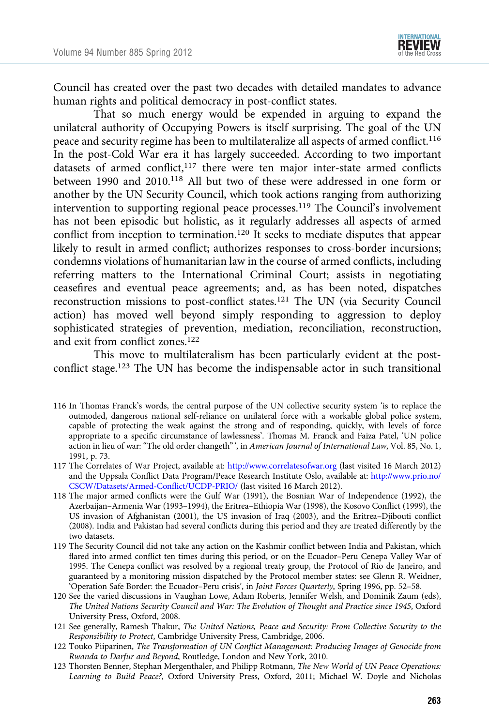Council has created over the past two decades with detailed mandates to advance human rights and political democracy in post-conflict states.

That so much energy would be expended in arguing to expand the unilateral authority of Occupying Powers is itself surprising. The goal of the UN peace and security regime has been to multilateralize all aspects of armed conflict.<sup>116</sup> In the post-Cold War era it has largely succeeded. According to two important datasets of armed conflict,<sup>117</sup> there were ten major inter-state armed conflicts between 1990 and 2010.118 All but two of these were addressed in one form or another by the UN Security Council, which took actions ranging from authorizing intervention to supporting regional peace processes.119 The Council's involvement has not been episodic but holistic, as it regularly addresses all aspects of armed conflict from inception to termination.120 It seeks to mediate disputes that appear likely to result in armed conflict; authorizes responses to cross-border incursions; condemns violations of humanitarian law in the course of armed conflicts, including referring matters to the International Criminal Court; assists in negotiating ceasefires and eventual peace agreements; and, as has been noted, dispatches reconstruction missions to post-conflict states.<sup>121</sup> The UN (via Security Council action) has moved well beyond simply responding to aggression to deploy sophisticated strategies of prevention, mediation, reconciliation, reconstruction, and exit from conflict zones.122

This move to multilateralism has been particularly evident at the postconflict stage.123 The UN has become the indispensable actor in such transitional

- 116 In Thomas Franck's words, the central purpose of the UN collective security system 'is to replace the outmoded, dangerous national self-reliance on unilateral force with a workable global police system, capable of protecting the weak against the strong and of responding, quickly, with levels of force appropriate to a specific circumstance of lawlessness'. Thomas M. Franck and Faiza Patel, 'UN police action in lieu of war: "The old order changeth" ', in American Journal of International Law, Vol. 85, No. 1, 1991, p. 73.
- 117 The Correlates of War Project, available at: <http://www.correlatesofwar.org> (last visited 16 March 2012) and the Uppsala Conflict Data Program/Peace Research Institute Oslo, available at: [http://www.prio.no/](http://www.prio.no/CSCW/Datasets/Armed-Conflict/UCDP-PRIO/) [CSCW/Datasets/Armed-Con](http://www.prio.no/CSCW/Datasets/Armed-Conflict/UCDP-PRIO/)flict/UCDP-PRIO/ (last visited 16 March 2012).
- 118 The major armed conflicts were the Gulf War (1991), the Bosnian War of Independence (1992), the Azerbaijan–Armenia War (1993–1994), the Eritrea–Ethiopia War (1998), the Kosovo Conflict (1999), the US invasion of Afghanistan (2001), the US invasion of Iraq (2003), and the Eritrea–Djibouti conflict (2008). India and Pakistan had several conflicts during this period and they are treated differently by the two datasets.
- 119 The Security Council did not take any action on the Kashmir conflict between India and Pakistan, which flared into armed conflict ten times during this period, or on the Ecuador–Peru Cenepa Valley War of 1995. The Cenepa conflict was resolved by a regional treaty group, the Protocol of Rio de Janeiro, and guaranteed by a monitoring mission dispatched by the Protocol member states: see Glenn R. Weidner, 'Operation Safe Border: the Ecuador–Peru crisis', in Joint Forces Quarterly, Spring 1996, pp. 52–58.
- 120 See the varied discussions in Vaughan Lowe, Adam Roberts, Jennifer Welsh, and Dominik Zaum (eds), The United Nations Security Council and War: The Evolution of Thought and Practice since 1945, Oxford University Press, Oxford, 2008.
- 121 See generally, Ramesh Thakur, The United Nations, Peace and Security: From Collective Security to the Responsibility to Protect, Cambridge University Press, Cambridge, 2006.
- 122 Touko Piiparinen, The Transformation of UN Conflict Management: Producing Images of Genocide from Rwanda to Darfur and Beyond, Routledge, London and New York, 2010.
- 123 Thorsten Benner, Stephan Mergenthaler, and Philipp Rotmann, The New World of UN Peace Operations: Learning to Build Peace?, Oxford University Press, Oxford, 2011; Michael W. Doyle and Nicholas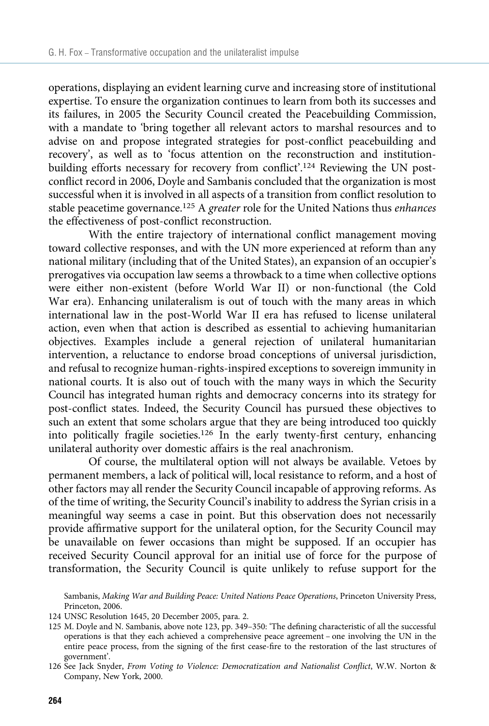operations, displaying an evident learning curve and increasing store of institutional expertise. To ensure the organization continues to learn from both its successes and its failures, in 2005 the Security Council created the Peacebuilding Commission, with a mandate to 'bring together all relevant actors to marshal resources and to advise on and propose integrated strategies for post-conflict peacebuilding and recovery', as well as to 'focus attention on the reconstruction and institutionbuilding efforts necessary for recovery from conflict'.<sup>124</sup> Reviewing the UN postconflict record in 2006, Doyle and Sambanis concluded that the organization is most successful when it is involved in all aspects of a transition from conflict resolution to stable peacetime governance.<sup>125</sup> A greater role for the United Nations thus enhances the effectiveness of post-conflict reconstruction.

With the entire trajectory of international conflict management moving toward collective responses, and with the UN more experienced at reform than any national military (including that of the United States), an expansion of an occupier's prerogatives via occupation law seems a throwback to a time when collective options were either non-existent (before World War II) or non-functional (the Cold War era). Enhancing unilateralism is out of touch with the many areas in which international law in the post-World War II era has refused to license unilateral action, even when that action is described as essential to achieving humanitarian objectives. Examples include a general rejection of unilateral humanitarian intervention, a reluctance to endorse broad conceptions of universal jurisdiction, and refusal to recognize human-rights-inspired exceptions to sovereign immunity in national courts. It is also out of touch with the many ways in which the Security Council has integrated human rights and democracy concerns into its strategy for post-conflict states. Indeed, the Security Council has pursued these objectives to such an extent that some scholars argue that they are being introduced too quickly into politically fragile societies.<sup>126</sup> In the early twenty-first century, enhancing unilateral authority over domestic affairs is the real anachronism.

Of course, the multilateral option will not always be available. Vetoes by permanent members, a lack of political will, local resistance to reform, and a host of other factors may all render the Security Council incapable of approving reforms. As of the time of writing, the Security Council's inability to address the Syrian crisis in a meaningful way seems a case in point. But this observation does not necessarily provide affirmative support for the unilateral option, for the Security Council may be unavailable on fewer occasions than might be supposed. If an occupier has received Security Council approval for an initial use of force for the purpose of transformation, the Security Council is quite unlikely to refuse support for the

Sambanis, Making War and Building Peace: United Nations Peace Operations, Princeton University Press, Princeton, 2006.

<sup>124</sup> UNSC Resolution 1645, 20 December 2005, para. 2.

<sup>125</sup> M. Doyle and N. Sambanis, above note 123, pp. 349–350: 'The defining characteristic of all the successful operations is that they each achieved a comprehensive peace agreement – one involving the UN in the entire peace process, from the signing of the first cease-fire to the restoration of the last structures of government'.

<sup>126</sup> See Jack Snyder, From Voting to Violence: Democratization and Nationalist Conflict, W.W. Norton & Company, New York, 2000.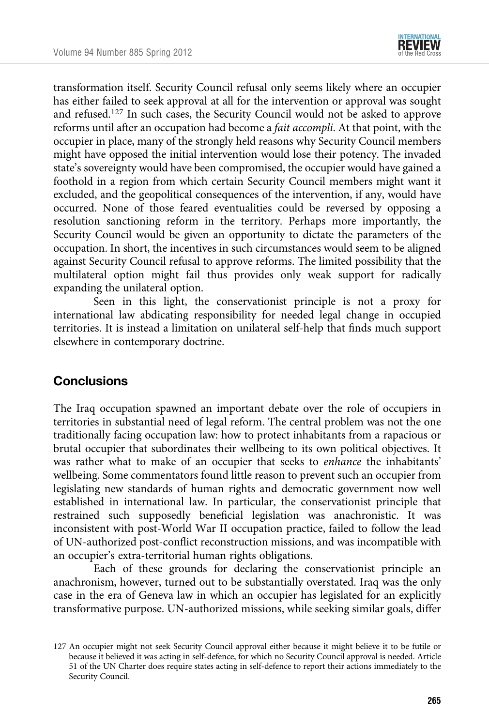transformation itself. Security Council refusal only seems likely where an occupier has either failed to seek approval at all for the intervention or approval was sought and refused.<sup>127</sup> In such cases, the Security Council would not be asked to approve reforms until after an occupation had become a fait accompli. At that point, with the occupier in place, many of the strongly held reasons why Security Council members might have opposed the initial intervention would lose their potency. The invaded state's sovereignty would have been compromised, the occupier would have gained a foothold in a region from which certain Security Council members might want it excluded, and the geopolitical consequences of the intervention, if any, would have occurred. None of those feared eventualities could be reversed by opposing a resolution sanctioning reform in the territory. Perhaps more importantly, the Security Council would be given an opportunity to dictate the parameters of the occupation. In short, the incentives in such circumstances would seem to be aligned against Security Council refusal to approve reforms. The limited possibility that the multilateral option might fail thus provides only weak support for radically expanding the unilateral option.

Seen in this light, the conservationist principle is not a proxy for international law abdicating responsibility for needed legal change in occupied territories. It is instead a limitation on unilateral self-help that finds much support elsewhere in contemporary doctrine.

## **Conclusions**

The Iraq occupation spawned an important debate over the role of occupiers in territories in substantial need of legal reform. The central problem was not the one traditionally facing occupation law: how to protect inhabitants from a rapacious or brutal occupier that subordinates their wellbeing to its own political objectives. It was rather what to make of an occupier that seeks to enhance the inhabitants' wellbeing. Some commentators found little reason to prevent such an occupier from legislating new standards of human rights and democratic government now well established in international law. In particular, the conservationist principle that restrained such supposedly beneficial legislation was anachronistic. It was inconsistent with post-World War II occupation practice, failed to follow the lead of UN-authorized post-conflict reconstruction missions, and was incompatible with an occupier's extra-territorial human rights obligations.

Each of these grounds for declaring the conservationist principle an anachronism, however, turned out to be substantially overstated. Iraq was the only case in the era of Geneva law in which an occupier has legislated for an explicitly transformative purpose. UN-authorized missions, while seeking similar goals, differ

<sup>127</sup> An occupier might not seek Security Council approval either because it might believe it to be futile or because it believed it was acting in self-defence, for which no Security Council approval is needed. Article 51 of the UN Charter does require states acting in self-defence to report their actions immediately to the Security Council.